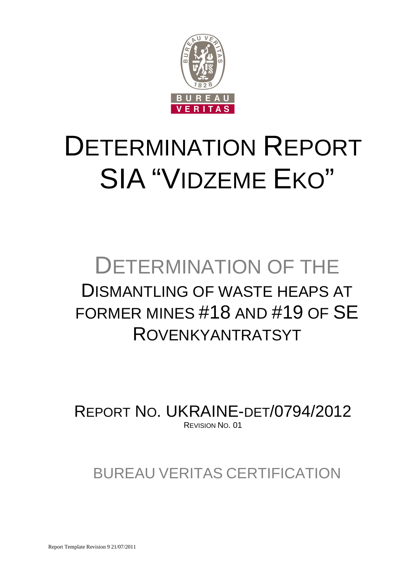

# DETERMINATION REPORT SIA "VIDZEME EKO"

# DETERMINATION OF THE DISMANTLING OF WASTE HEAPS AT FORMER MINES #18 AND #19 OF SE ROVENKYANTRATSYT

REPORT NO. UKRAINE-DET/0794/2012 REVISION NO. 01

BUREAU VERITAS CERTIFICATION

Report Template Revision 9 21/07/2011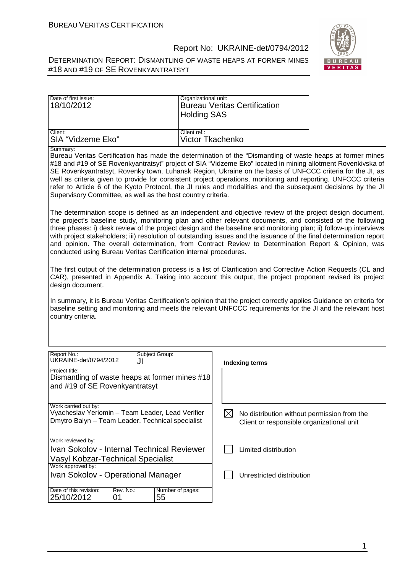

DETERMINATION REPORT: DISMANTLING OF WASTE HEAPS AT FORMER MINES #18 AND #19 OF SE ROVENKYANTRATSYT

| Date of first issue:<br>18/10/2012 | Organizational unit:<br><b>Bureau Veritas Certification</b><br><b>Holding SAS</b> |
|------------------------------------|-----------------------------------------------------------------------------------|
| Client:                            | Client ref.:                                                                      |
| ISIA "Vidzeme Eko"                 | Victor Tkachenko                                                                  |

Summary:

Bureau Veritas Certification has made the determination of the "Dismantling of waste heaps at former mines #18 and #19 of SE Rovenkyantratsyt" project of SIA "Vidzeme Eko" located in mining allotment Rovenkivska of SE Rovenkyantratsyt, Rovenky town, Luhansk Region, Ukraine on the basis of UNFCCC criteria for the JI, as well as criteria given to provide for consistent project operations, monitoring and reporting. UNFCCC criteria refer to Article 6 of the Kyoto Protocol, the JI rules and modalities and the subsequent decisions by the JI Supervisory Committee, as well as the host country criteria.

The determination scope is defined as an independent and objective review of the project design document, the project's baseline study, monitoring plan and other relevant documents, and consisted of the following three phases: i) desk review of the project design and the baseline and monitoring plan; ii) follow-up interviews with project stakeholders; iii) resolution of outstanding issues and the issuance of the final determination report and opinion. The overall determination, from Contract Review to Determination Report & Opinion, was conducted using Bureau Veritas Certification internal procedures.

The first output of the determination process is a list of Clarification and Corrective Action Requests (CL and CAR), presented in Appendix A. Taking into account this output, the project proponent revised its project design document.

In summary, it is Bureau Veritas Certification's opinion that the project correctly applies Guidance on criteria for baseline setting and monitoring and meets the relevant UNFCCC requirements for the JI and the relevant host country criteria.

| Report No.:<br>UKRAINE-det/0794/2012                                                                                         | Subject Group:<br>JI   | Indexing terms                                                                           |
|------------------------------------------------------------------------------------------------------------------------------|------------------------|------------------------------------------------------------------------------------------|
| Project title:<br>Dismantling of waste heaps at former mines #18<br>and #19 of SE Rovenkyantratsyt                           |                        |                                                                                          |
| Work carried out by:<br>Vyacheslav Yeriomin - Team Leader, Lead Verifier<br>Dmytro Balyn - Team Leader, Technical specialist |                        | No distribution without permission from the<br>Client or responsible organizational unit |
| Work reviewed by:<br>Ivan Sokolov - Internal Technical Reviewer<br><b>Vasyl Kobzar-Technical Specialist</b>                  |                        | Limited distribution                                                                     |
| Work approved by:<br>Ivan Sokolov - Operational Manager                                                                      |                        | Unrestricted distribution                                                                |
| Date of this revision:<br>Rev. No.:<br>25/10/2012<br>01                                                                      | Number of pages:<br>55 |                                                                                          |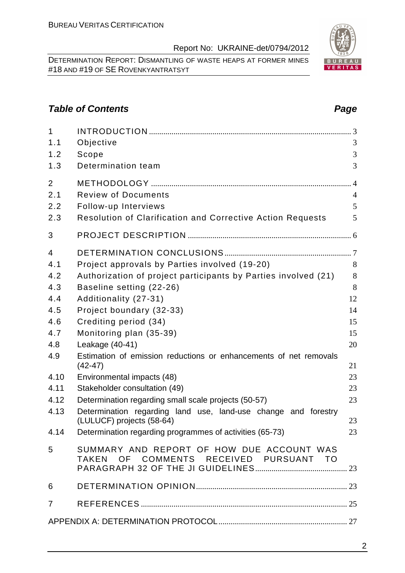DETERMINATION REPORT: DISMANTLING OF WASTE HEAPS AT FORMER MINES #18 AND #19 OF SE ROVENKYANTRATSYT

# **Table of Contents Page 2014**

| $\mathbf{1}$   |                                                                                     |                |
|----------------|-------------------------------------------------------------------------------------|----------------|
| 1.1            | Objective                                                                           | 3              |
| 1.2            | Scope                                                                               | 3              |
| 1.3            | Determination team                                                                  | 3              |
| $\overline{2}$ |                                                                                     | $\overline{4}$ |
| 2.1            | <b>Review of Documents</b>                                                          | $\overline{4}$ |
| 2.2            | Follow-up Interviews                                                                | 5              |
| 2.3            | <b>Resolution of Clarification and Corrective Action Requests</b>                   | 5              |
| 3              |                                                                                     |                |
| $\overline{4}$ |                                                                                     |                |
| 4.1            | Project approvals by Parties involved (19-20)                                       | 8              |
| 4.2            | Authorization of project participants by Parties involved (21)                      | 8              |
| 4.3            | Baseline setting (22-26)                                                            | 8              |
| 4.4            | Additionality (27-31)                                                               | 12             |
| 4.5            | Project boundary (32-33)                                                            | 14             |
| 4.6            | Crediting period (34)                                                               | 15             |
| 4.7            | Monitoring plan (35-39)                                                             | 15             |
| 4.8            | Leakage (40-41)                                                                     | 20             |
| 4.9            | Estimation of emission reductions or enhancements of net removals<br>$(42-47)$      | 21             |
| 4.10           | Environmental impacts (48)                                                          | 23             |
| 4.11           | Stakeholder consultation (49)                                                       | 23             |
| 4.12           | Determination regarding small scale projects (50-57)                                | 23             |
| 4.13           | Determination regarding land use, land-use change and forestry                      |                |
|                | (LULUCF) projects (58-64)                                                           | 23             |
| 4.14           | Determination regarding programmes of activities (65-73)                            | 23             |
| 5              | SUMMARY AND REPORT OF HOW DUE ACCOUNT WAS<br>TAKEN OF COMMENTS RECEIVED PURSUANT TO |                |
| 6              |                                                                                     |                |
| $\overline{7}$ |                                                                                     |                |
|                |                                                                                     |                |

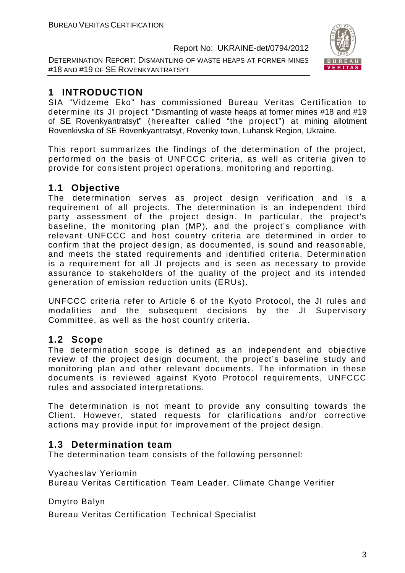DETERMINATION REPORT: DISMANTLING OF WASTE HEAPS AT FORMER MINES #18 AND #19 OF SE ROVENKYANTRATSYT



# **1 INTRODUCTION**

SIA "Vidzeme Eko" has commissioned Bureau Veritas Certification to determine its JI project "Dismantling of waste heaps at former mines #18 and #19 of SE Rovenkyantratsyt" (hereafter called "the project") at mining allotment Rovenkivska of SE Rovenkyantratsyt, Rovenky town, Luhansk Region, Ukraine.

This report summarizes the findings of the determination of the project, performed on the basis of UNFCCC criteria, as well as criteria given to provide for consistent project operations, monitoring and reporting.

# **1.1 Objective**

The determination serves as project design verification and is a requirement of all projects. The determination is an independent third party assessment of the project design. In particular, the project's baseline, the monitoring plan (MP), and the project's compliance with relevant UNFCCC and host country criteria are determined in order to confirm that the project design, as documented, is sound and reasonable, and meets the stated requirements and identified criteria. Determination is a requirement for all JI projects and is seen as necessary to provide assurance to stakeholders of the quality of the project and its intended generation of emission reduction units (ERUs).

UNFCCC criteria refer to Article 6 of the Kyoto Protocol, the JI rules and modalities and the subsequent decisions by the JI Supervisory Committee, as well as the host country criteria.

# **1.2 Scope**

The determination scope is defined as an independent and objective review of the project design document, the project's baseline study and monitoring plan and other relevant documents. The information in these documents is reviewed against Kyoto Protocol requirements, UNFCCC rules and associated interpretations.

The determination is not meant to provide any consulting towards the Client. However, stated requests for clarifications and/or corrective actions may provide input for improvement of the project design.

# **1.3 Determination team**

The determination team consists of the following personnel:

Vyacheslav Yeriomin

Bureau Veritas Certification Team Leader, Climate Change Verifier

Dmytro Balyn

Bureau Veritas Certification Technical Specialist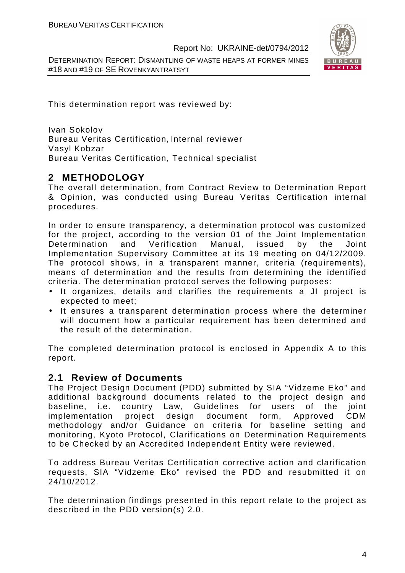DETERMINATION REPORT: DISMANTLING OF WASTE HEAPS AT FORMER MINES #18 AND #19 OF SE ROVENKYANTRATSYT



This determination report was reviewed by:

Ivan Sokolov Bureau Veritas Certification, Internal reviewer Vasyl Kobzar Bureau Veritas Certification, Technical specialist

# **2 METHODOLOGY**

The overall determination, from Contract Review to Determination Report & Opinion, was conducted using Bureau Veritas Certification internal procedures.

In order to ensure transparency, a determination protocol was customized for the project, according to the version 01 of the Joint Implementation Determination and Verification Manual, issued by the Joint Implementation Supervisory Committee at its 19 meeting on 04/12/2009. The protocol shows, in a transparent manner, criteria (requirements), means of determination and the results from determining the identified criteria. The determination protocol serves the following purposes:

- It organizes, details and clarifies the requirements a JI project is expected to meet;
- It ensures a transparent determination process where the determiner will document how a particular requirement has been determined and the result of the determination.

The completed determination protocol is enclosed in Appendix A to this report.

# **2.1 Review of Documents**

The Project Design Document (PDD) submitted by SIA "Vidzeme Eko" and additional background documents related to the project design and baseline, i.e. country Law, Guidelines for users of the joint implementation project design document form, Approved CDM methodology and/or Guidance on criteria for baseline setting and monitoring, Kyoto Protocol, Clarifications on Determination Requirements to be Checked by an Accredited Independent Entity were reviewed.

To address Bureau Veritas Certification corrective action and clarification requests, SIA "Vidzeme Eko" revised the PDD and resubmitted it on 24/10/2012.

The determination findings presented in this report relate to the project as described in the PDD version(s) 2.0.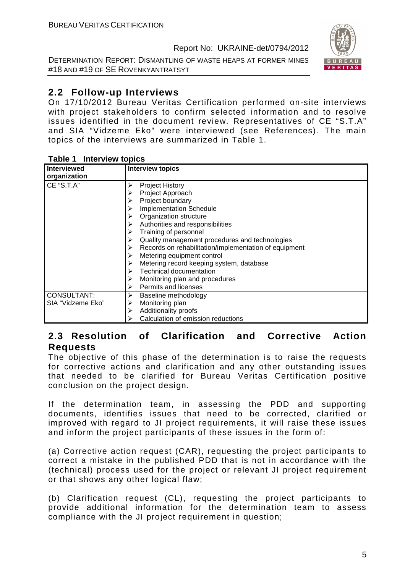DETERMINATION REPORT: DISMANTLING OF WASTE HEAPS AT FORMER MINES #18 AND #19 OF SE ROVENKYANTRATSYT



# **2.2 Follow-up Interviews**

On 17/10/2012 Bureau Veritas Certification performed on-site interviews with project stakeholders to confirm selected information and to resolve issues identified in the document review. Representatives of CE "S.T.A" and SIA "Vidzeme Eko" were interviewed (see References). The main topics of the interviews are summarized in Table 1.

| Interviewed        | <b>Interview topics</b>                                    |
|--------------------|------------------------------------------------------------|
| organization       |                                                            |
| CE "S.T.A"         | <b>Project History</b><br>➤                                |
|                    | Project Approach                                           |
|                    | Project boundary                                           |
|                    | <b>Implementation Schedule</b>                             |
|                    | Organization structure                                     |
|                    | Authorities and responsibilities                           |
|                    | Training of personnel                                      |
|                    | Quality management procedures and technologies             |
|                    | Records on rehabilitation/implementation of equipment<br>➤ |
|                    | Metering equipment control                                 |
|                    | Metering record keeping system, database                   |
|                    | <b>Technical documentation</b><br>⋗                        |
|                    | Monitoring plan and procedures                             |
|                    | Permits and licenses                                       |
| <b>CONSULTANT:</b> | Baseline methodology<br>➤                                  |
| SIA "Vidzeme Eko"  | Monitoring plan                                            |
|                    | Additionality proofs                                       |
|                    | Calculation of emission reductions                         |

#### **Table 1 Interview topics**

# **2.3 Resolution of Clarification and Corrective Action Requests**

The objective of this phase of the determination is to raise the requests for corrective actions and clarification and any other outstanding issues that needed to be clarified for Bureau Veritas Certification positive conclusion on the project design.

If the determination team, in assessing the PDD and supporting documents, identifies issues that need to be corrected, clarified or improved with regard to JI project requirements, it will raise these issues and inform the project participants of these issues in the form of:

(a) Corrective action request (CAR), requesting the project participants to correct a mistake in the published PDD that is not in accordance with the (technical) process used for the project or relevant JI project requirement or that shows any other logical flaw;

(b) Clarification request (CL), requesting the project participants to provide additional information for the determination team to assess compliance with the JI project requirement in question;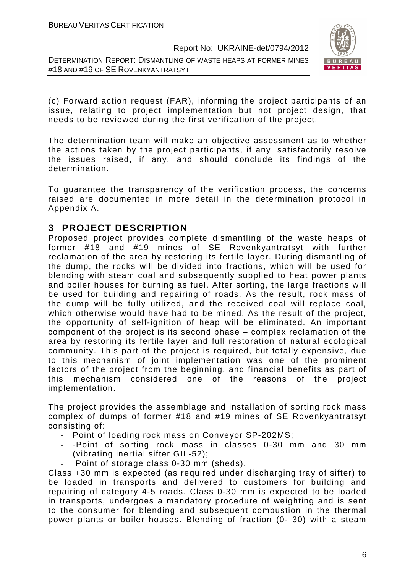DETERMINATION REPORT: DISMANTLING OF WASTE HEAPS AT FORMER MINES #18 AND #19 OF SE ROVENKYANTRATSYT



(c) Forward action request (FAR), informing the project participants of an issue, relating to project implementation but not project design, that needs to be reviewed during the first verification of the project.

The determination team will make an objective assessment as to whether the actions taken by the project participants, if any, satisfactorily resolve the issues raised, if any, and should conclude its findings of the determination.

To guarantee the transparency of the verification process, the concerns raised are documented in more detail in the determination protocol in Appendix A.

# **3 PROJECT DESCRIPTION**

Proposed project provides complete dismantling of the waste heaps of former #18 and #19 mines of SE Rovenkyantratsyt with further reclamation of the area by restoring its fertile layer. During dismantling of the dump, the rocks will be divided into fractions, which will be used for blending with steam coal and subsequently supplied to heat power plants and boiler houses for burning as fuel. After sorting, the large fractions will be used for building and repairing of roads. As the result, rock mass of the dump will be fully utilized, and the received coal will replace coal, which otherwise would have had to be mined. As the result of the project, the opportunity of self-ignition of heap will be eliminated. An important component of the project is its second phase – complex reclamation of the area by restoring its fertile layer and full restoration of natural ecological community. This part of the project is required, but totally expensive, due to this mechanism of joint implementation was one of the prominent factors of the project from the beginning, and financial benefits as part of this mechanism considered one of the reasons of the project implementation.

The project provides the assemblage and installation of sorting rock mass complex of dumps of former #18 and #19 mines of SE Rovenkyantratsyt consisting of:

- Point of loading rock mass on Conveyor SP-202MS;
- -Point of sorting rock mass in classes 0-30 mm and 30 mm (vibrating inertial sifter GIL-52);
- Point of storage class 0-30 mm (sheds).

Class +30 mm is expected (as required under discharging tray of sifter) to be loaded in transports and delivered to customers for building and repairing of category 4-5 roads. Class 0-30 mm is expected to be loaded in transports, undergoes a mandatory procedure of weighting and is sent to the consumer for blending and subsequent combustion in the thermal power plants or boiler houses. Blending of fraction (0- 30) with a steam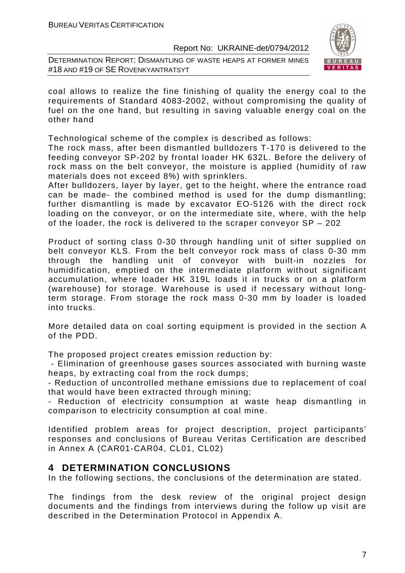DETERMINATION REPORT: DISMANTLING OF WASTE HEAPS AT FORMER MINES #18 AND #19 OF SE ROVENKYANTRATSYT



coal allows to realize the fine finishing of quality the energy coal to the requirements of Standard 4083-2002, without compromising the quality of fuel on the one hand, but resulting in saving valuable energy coal on the other hand

Technological scheme of the complex is described as follows:

The rock mass, after been dismantled bulldozers T-170 is delivered to the feeding conveyor SP-202 by frontal loader HK 632L. Before the delivery of rock mass on the belt conveyor, the moisture is applied (humidity of raw materials does not exceed 8%) with sprinklers.

After bulldozers, layer by layer, get to the height, where the entrance road can be made- the combined method is used for the dump dismantling; further dismantling is made by excavator EO-5126 with the direct rock loading on the conveyor, or on the intermediate site, where, with the help of the loader, the rock is delivered to the scraper conveyor SP – 202

Product of sorting class 0-30 through handling unit of sifter supplied on belt conveyor KLS. From the belt conveyor rock mass of class 0-30 mm through the handling unit of conveyor with built-in nozzles for humidification, emptied on the intermediate platform without significant accumulation, where loader HK 319L loads it in trucks or on a platform (warehouse) for storage. Warehouse is used if necessary without longterm storage. From storage the rock mass 0-30 mm by loader is loaded into trucks.

More detailed data on coal sorting equipment is provided in the section A of the PDD.

The proposed project creates emission reduction by:

 - Elimination of greenhouse gases sources associated with burning waste heaps, by extracting coal from the rock dumps;

- Reduction of uncontrolled methane emissions due to replacement of coal that would have been extracted through mining;

- Reduction of electricity consumption at waste heap dismantling in comparison to electricity consumption at coal mine.

Identified problem areas for project description, project participants' responses and conclusions of Bureau Veritas Certification are described in Annex A (CAR01-CAR04, CL01, CL02)

# **4 DETERMINATION CONCLUSIONS**

In the following sections, the conclusions of the determination are stated.

The findings from the desk review of the original project design documents and the findings from interviews during the follow up visit are described in the Determination Protocol in Appendix A.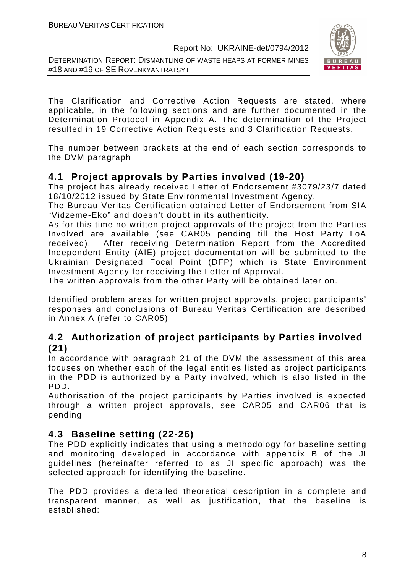DETERMINATION REPORT: DISMANTLING OF WASTE HEAPS AT FORMER MINES #18 AND #19 OF SE ROVENKYANTRATSYT



The Clarification and Corrective Action Requests are stated, where applicable, in the following sections and are further documented in the Determination Protocol in Appendix A. The determination of the Project resulted in 19 Corrective Action Requests and 3 Clarification Requests.

The number between brackets at the end of each section corresponds to the DVM paragraph

# **4.1 Project approvals by Parties involved (19-20)**

The project has already received Letter of Endorsement #3079/23/7 dated 18/10/2012 issued by State Environmental Investment Agency.

The Bureau Veritas Certification obtained Letter of Endorsement from SIA "Vidzeme-Eko" and doesn't doubt in its authenticity.

As for this time no written project approvals of the project from the Parties Involved are available (see CAR05 pending till the Host Party LoA received). After receiving Determination Report from the Accredited Independent Entity (AIE) project documentation will be submitted to the Ukrainian Designated Focal Point (DFP) which is State Environment Investment Agency for receiving the Letter of Approval.

The written approvals from the other Party will be obtained later on.

Identified problem areas for written project approvals, project participants' responses and conclusions of Bureau Veritas Certification are described in Annex A (refer to CAR05)

# **4.2 Authorization of project participants by Parties involved (21)**

In accordance with paragraph 21 of the DVM the assessment of this area focuses on whether each of the legal entities listed as project participants in the PDD is authorized by a Party involved, which is also listed in the PDD.

Authorisation of the project participants by Parties involved is expected through a written project approvals, see CAR05 and CAR06 that is pending

# **4.3 Baseline setting (22-26)**

The PDD explicitly indicates that using a methodology for baseline setting and monitoring developed in accordance with appendix B of the JI guidelines (hereinafter referred to as JI specific approach) was the selected approach for identifying the baseline.

The PDD provides a detailed theoretical description in a complete and transparent manner, as well as justification, that the baseline is established: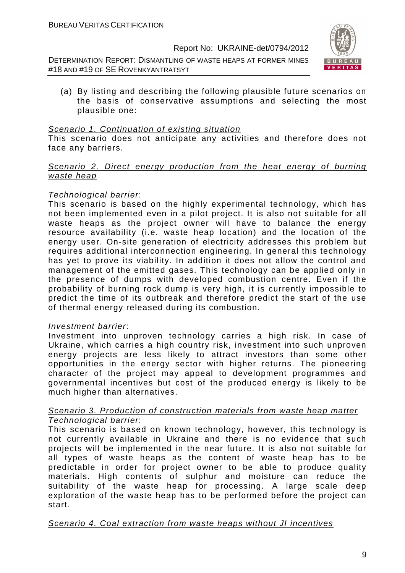DETERMINATION REPORT: DISMANTLING OF WASTE HEAPS AT FORMER MINES #18 AND #19 OF SE ROVENKYANTRATSYT



(a) By listing and describing the following plausible future scenarios on the basis of conservative assumptions and selecting the most plausible one:

#### Scenario 1. Continuation of existing situation

This scenario does not anticipate any activities and therefore does not face any barriers.

#### Scenario 2. Direct energy production from the heat energy of burning waste heap

#### Technological barrier:

This scenario is based on the highly experimental technology, which has not been implemented even in a pilot project. It is also not suitable for all waste heaps as the project owner will have to balance the energy resource availability (i.e. waste heap location) and the location of the energy user. On-site generation of electricity addresses this problem but requires additional interconnection engineering. In general this technology has yet to prove its viability. In addition it does not allow the control and management of the emitted gases. This technology can be applied only in the presence of dumps with developed combustion centre. Even if the probability of burning rock dump is very high, it is currently impossible to predict the time of its outbreak and therefore predict the start of the use of thermal energy released during its combustion.

#### Investment barrier:

Investment into unproven technology carries a high risk. In case of Ukraine, which carries a high country risk, investment into such unproven energy projects are less likely to attract investors than some other opportunities in the energy sector with higher returns. The pioneering character of the project may appeal to development programmes and governmental incentives but cost of the produced energy is likely to be much higher than alternatives.

#### Scenario 3. Production of construction materials from waste heap matter Technological barrier:

This scenario is based on known technology, however, this technology is not currently available in Ukraine and there is no evidence that such projects will be implemented in the near future. It is also not suitable for all types of waste heaps as the content of waste heap has to be predictable in order for project owner to be able to produce quality materials. High contents of sulphur and moisture can reduce the suitability of the waste heap for processing. A large scale deep exploration of the waste heap has to be performed before the project can start.

#### Scenario 4. Coal extraction from waste heaps without JI incentives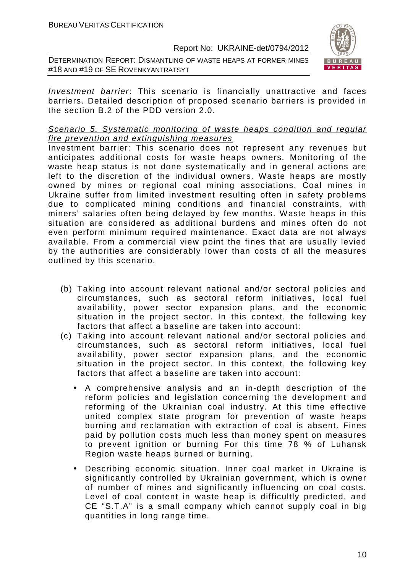DETERMINATION REPORT: DISMANTLING OF WASTE HEAPS AT FORMER MINES #18 AND #19 OF SE ROVENKYANTRATSYT



Investment barrier: This scenario is financially unattractive and faces barriers. Detailed description of proposed scenario barriers is provided in the section B.2 of the PDD version 2.0.

#### Scenario 5. Systematic monitoring of waste heaps condition and regular fire prevention and extinguishing measures

Investment barrier: This scenario does not represent any revenues but anticipates additional costs for waste heaps owners. Monitoring of the waste heap status is not done systematically and in general actions are left to the discretion of the individual owners. Waste heaps are mostly owned by mines or regional coal mining associations. Coal mines in Ukraine suffer from limited investment resulting often in safety problems due to complicated mining conditions and financial constraints, with miners' salaries often being delayed by few months. Waste heaps in this situation are considered as additional burdens and mines often do not even perform minimum required maintenance. Exact data are not always available. From a commercial view point the fines that are usually levied by the authorities are considerably lower than costs of all the measures outlined by this scenario.

- (b) Taking into account relevant national and/or sectoral policies and circumstances, such as sectoral reform initiatives, local fuel availability, power sector expansion plans, and the economic situation in the project sector. In this context, the following key factors that affect a baseline are taken into account:
- (c) Taking into account relevant national and/or sectoral policies and circumstances, such as sectoral reform initiatives, local fuel availability, power sector expansion plans, and the economic situation in the project sector. In this context, the following key factors that affect a baseline are taken into account:
	- A comprehensive analysis and an in-depth description of the reform policies and legislation concerning the development and reforming of the Ukrainian coal industry. At this time effective united complex state program for prevention of waste heaps burning and reclamation with extraction of coal is absent. Fines paid by pollution costs much less than money spent on measures to prevent ignition or burning For this time 78 % of Luhansk Region waste heaps burned or burning.
	- Describing economic situation. Inner coal market in Ukraine is significantly controlled by Ukrainian government, which is owner of number of mines and significantly influencing on coal costs. Level of coal content in waste heap is difficultly predicted, and CE "S.T.A" is a small company which cannot supply coal in big quantities in long range time.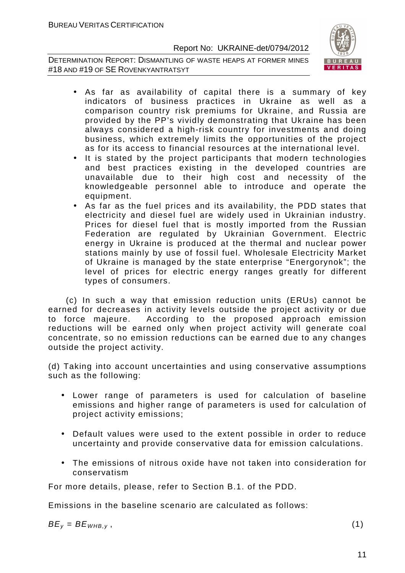DETERMINATION REPORT: DISMANTLING OF WASTE HEAPS AT FORMER MINES #18 AND #19 OF SE ROVENKYANTRATSYT



- As far as availability of capital there is a summary of key indicators of business practices in Ukraine as well as a comparison country risk premiums for Ukraine, and Russia are provided by the PP's vividly demonstrating that Ukraine has been always considered a high-risk country for investments and doing business, which extremely limits the opportunities of the project as for its access to financial resources at the international level.
- It is stated by the project participants that modern technologies and best practices existing in the developed countries are unavailable due to their high cost and necessity of the knowledgeable personnel able to introduce and operate the equipment.
- As far as the fuel prices and its availability, the PDD states that electricity and diesel fuel are widely used in Ukrainian industry. Prices for diesel fuel that is mostly imported from the Russian Federation are regulated by Ukrainian Government. Electric energy in Ukraine is produced at the thermal and nuclear power stations mainly by use of fossil fuel. Wholesale Electricity Market of Ukraine is managed by the state enterprise "Energorynok"; the level of prices for electric energy ranges greatly for different types of consumers.

 (c) In such a way that emission reduction units (ERUs) cannot be earned for decreases in activity levels outside the project activity or due to force majeure. According to the proposed approach emission reductions will be earned only when project activity will generate coal concentrate, so no emission reductions can be earned due to any changes outside the project activity.

(d) Taking into account uncertainties and using conservative assumptions such as the following:

- Lower range of parameters is used for calculation of baseline emissions and higher range of parameters is used for calculation of project activity emissions;
- Default values were used to the extent possible in order to reduce uncertainty and provide conservative data for emission calculations.
- The emissions of nitrous oxide have not taken into consideration for conservatism

For more details, please, refer to Section B.1. of the PDD.

Emissions in the baseline scenario are calculated as follows:

 $BE_v = BE_{WHB,v}$ , (1)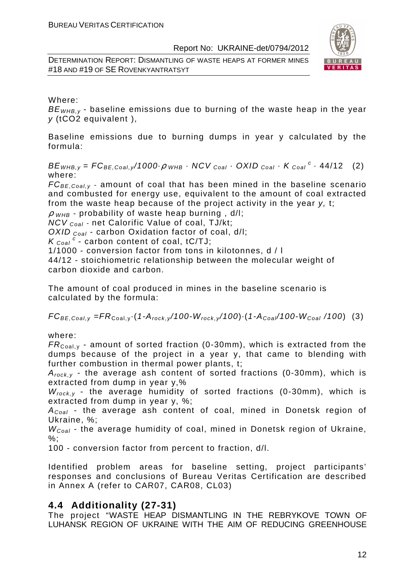DETERMINATION REPORT: DISMANTLING OF WASTE HEAPS AT FORMER MINES #18 AND #19 OF SE ROVENKYANTRATSYT



#### Where:

 $BE<sub>WHB-V</sub>$  - baseline emissions due to burning of the waste heap in the year y (tCO2 equivalent ),

Baseline emissions due to burning dumps in year y calculated by the formula:

 $BE_{WHB,y} = FC_{BE,Coal,y}$ /1000 $\rho_{WHB}$  · NCV  $_{Coal}$  · OXID  $_{Coal}$  · K  $_{Coal}$  <sup>c</sup> · 44/12 (2) where:

 $FC_{BE,Coal,v}$  - amount of coal that has been mined in the baseline scenario and combusted for energy use, equivalent to the amount of coal extracted from the waste heap because of the project activity in the year y, t;

 $\rho$  w<sub>HB</sub> - probability of waste heap burning, d/l;

NCV <sub>Coal</sub> - net Calorific Value of coal, TJ/kt;

OXID  $_{Coal}$  - carbon Oxidation factor of coal, d/l;

 $K_{\text{Coal}}^c$  - carbon content of coal, tC/TJ;

1/1000 - conversion factor from tons in kilotonnes, d / l

44/12 - stoichiometric relationship between the molecular weight of carbon dioxide and carbon.

The amount of coal produced in mines in the baseline scenario is calculated by the formula:

 $FC_{BE,Coal,v} = FR_{Coal,v} (1-A_{rock,v}/100-W_{rock,v}/100) (1-A_{Coal}/100-W_{Coal}/100)$  (3)

where:

 $FR_{\text{Coal,v}}$  - amount of sorted fraction (0-30mm), which is extracted from the dumps because of the project in a year y, that came to blending with further combustion in thermal power plants, t;

 $A_{rock, v}$  - the average ash content of sorted fractions (0-30mm), which is extracted from dump in year y,%

 $W_{rock,y}$  - the average humidity of sorted fractions (0-30mm), which is extracted from dump in year y, %;

 $A_{Coal}$  - the average ash content of coal, mined in Donetsk region of Ukraine, %;

 $W_{Coal}$  - the average humidity of coal, mined in Donetsk region of Ukraine, %;

100 - conversion factor from percent to fraction, d/l.

Identified problem areas for baseline setting, project participants' responses and conclusions of Bureau Veritas Certification are described in Annex A (refer to CAR07, CAR08, CL03)

# **4.4 Additionality (27-31)**

The project "WASTE HEAP DISMANTLING IN THE REBRYKOVE TOWN OF LUHANSK REGION OF UKRAINE WITH THE AIM OF REDUCING GREENHOUSE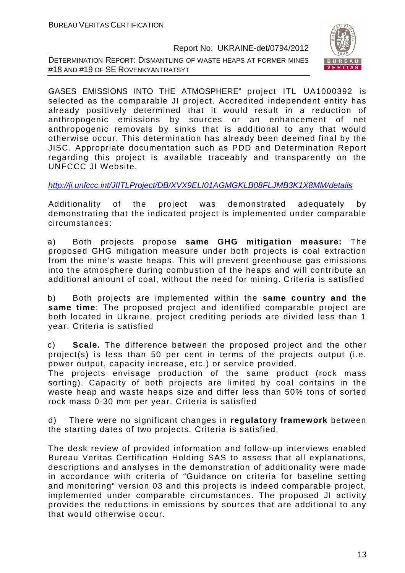DETERMINATION REPORT: DISMANTLING OF WASTE HEAPS AT FORMER MINES #18 AND #19 OF SE ROVENKYANTRATSYT



GASES EMISSIONS INTO THE ATMOSPHERE" project ITL UA1000392 is selected as the comparable JI project. Accredited independent entity has already positively determined that it would result in a reduction of anthropogenic emissions by sources or an enhancement of net anthropogenic removals by sinks that is additional to any that would otherwise occur. This determination has already been deemed final by the JISC. Appropriate documentation such as PDD and Determination Report regarding this project is available traceably and transparently on the UNFCCC JI Website.

http://ji.unfccc.int/JIITLProject/DB/XVX9ELI01AGMGKLB08FLJMB3K1X8MM/details

Additionality of the project was demonstrated adequately by demonstrating that the indicated project is implemented under comparable circumstances:

a) Both projects propose **same GHG mitigation measure:** The proposed GHG mitigation measure under both projects is coal extraction from the mine's waste heaps. This will prevent greenhouse gas emissions into the atmosphere during combustion of the heaps and will contribute an additional amount of coal, without the need for mining. Criteria is satisfied

b) Both projects are implemented within the **same country and the same time**: The proposed project and identified comparable project are both located in Ukraine, project crediting periods are divided less than 1 year. Criteria is satisfied

c) **Scale.** The difference between the proposed project and the other project(s) is less than 50 per cent in terms of the projects output (i.e. power output, capacity increase, etc.) or service provided.

The projects envisage production of the same product (rock mass sorting). Capacity of both projects are limited by coal contains in the waste heap and waste heaps size and differ less than 50% tons of sorted rock mass 0-30 mm per year. Criteria is satisfied

d) There were no significant changes in **regulatory framework** between the starting dates of two projects. Criteria is satisfied.

The desk review of provided information and follow-up interviews enabled Bureau Veritas Certification Holding SAS to assess that all explanations, descriptions and analyses in the demonstration of additionality were made in accordance with criteria of "Guidance on criteria for baseline setting and monitoring" version 03 and this projects is indeed comparable project, implemented under comparable circumstances. The proposed JI activity provides the reductions in emissions by sources that are additional to any that would otherwise occur.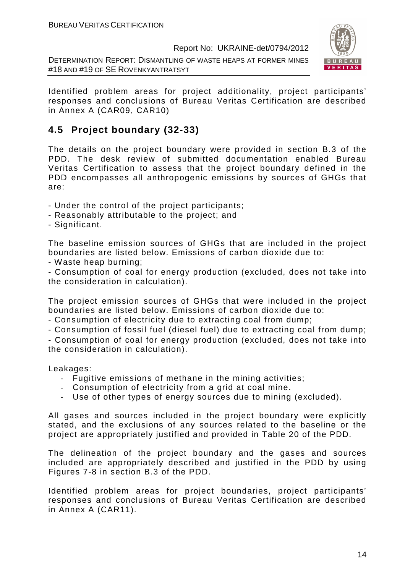DETERMINATION REPORT: DISMANTLING OF WASTE HEAPS AT FORMER MINES #18 AND #19 OF SE ROVENKYANTRATSYT



Identified problem areas for project additionality, project participants' responses and conclusions of Bureau Veritas Certification are described in Annex A (CAR09, CAR10)

# **4.5 Project boundary (32-33)**

The details on the project boundary were provided in section B.3 of the PDD. The desk review of submitted documentation enabled Bureau Veritas Certification to assess that the project boundary defined in the PDD encompasses all anthropogenic emissions by sources of GHGs that are:

- Under the control of the project participants;
- Reasonably attributable to the project; and
- Significant.

The baseline emission sources of GHGs that are included in the project boundaries are listed below. Emissions of carbon dioxide due to:

- Waste heap burning;

- Consumption of coal for energy production (excluded, does not take into the consideration in calculation).

The project emission sources of GHGs that were included in the project boundaries are listed below. Emissions of carbon dioxide due to:

- Consumption of electricity due to extracting coal from dump;

- Consumption of fossil fuel (diesel fuel) due to extracting coal from dump;

- Consumption of coal for energy production (excluded, does not take into the consideration in calculation).

Leakages:

- Fugitive emissions of methane in the mining activities;
- Consumption of electricity from a grid at coal mine.
- Use of other types of energy sources due to mining (excluded).

All gases and sources included in the project boundary were explicitly stated, and the exclusions of any sources related to the baseline or the project are appropriately justified and provided in Table 20 of the PDD.

The delineation of the project boundary and the gases and sources included are appropriately described and justified in the PDD by using Figures 7-8 in section B.3 of the PDD.

Identified problem areas for project boundaries, project participants' responses and conclusions of Bureau Veritas Certification are described in Annex A (CAR11).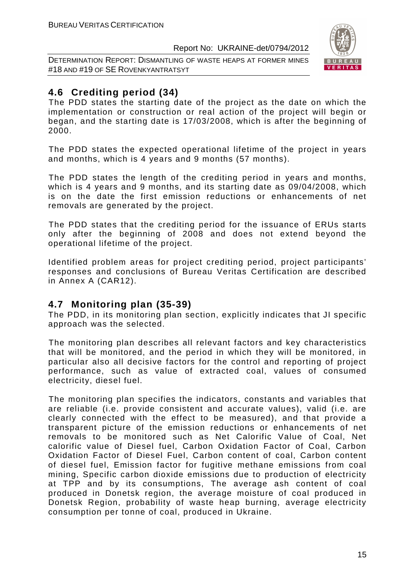DETERMINATION REPORT: DISMANTLING OF WASTE HEAPS AT FORMER MINES #18 AND #19 OF SE ROVENKYANTRATSYT



# **4.6 Crediting period (34)**

The PDD states the starting date of the project as the date on which the implementation or construction or real action of the project will begin or began, and the starting date is 17/03/2008, which is after the beginning of 2000.

The PDD states the expected operational lifetime of the project in years and months, which is 4 years and 9 months (57 months).

The PDD states the length of the crediting period in years and months, which is 4 years and 9 months, and its starting date as 09/04/2008, which is on the date the first emission reductions or enhancements of net removals are generated by the project.

The PDD states that the crediting period for the issuance of ERUs starts only after the beginning of 2008 and does not extend beyond the operational lifetime of the project.

Identified problem areas for project crediting period, project participants' responses and conclusions of Bureau Veritas Certification are described in Annex A (CAR12).

# **4.7 Monitoring plan (35-39)**

The PDD, in its monitoring plan section, explicitly indicates that JI specific approach was the selected.

The monitoring plan describes all relevant factors and key characteristics that will be monitored, and the period in which they will be monitored, in particular also all decisive factors for the control and reporting of project performance, such as value of extracted coal, values of consumed electricity, diesel fuel.

The monitoring plan specifies the indicators, constants and variables that are reliable (i.e. provide consistent and accurate values), valid (i.e. are clearly connected with the effect to be measured), and that provide a transparent picture of the emission reductions or enhancements of net removals to be monitored such as Net Calorific Value of Coal, Net calorific value of Diesel fuel, Carbon Oxidation Factor of Coal, Carbon Oxidation Factor of Diesel Fuel, Carbon content of coal, Carbon content of diesel fuel, Emission factor for fugitive methane emissions from coal mining, Specific carbon dioxide emissions due to production of electricity at TPP and by its consumptions, The average ash content of coal produced in Donetsk region, the average moisture of coal produced in Donetsk Region, probability of waste heap burning, average electricity consumption per tonne of coal, produced in Ukraine.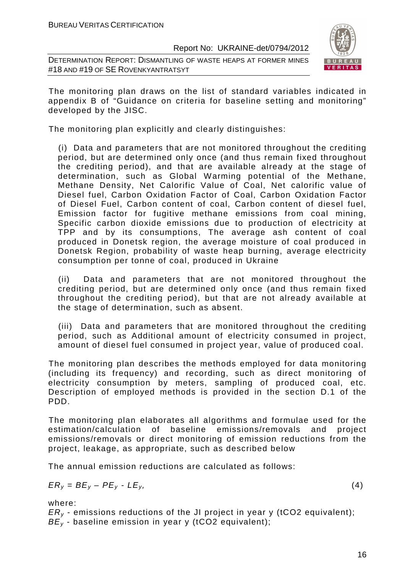DETERMINATION REPORT: DISMANTLING OF WASTE HEAPS AT FORMER MINES #18 AND #19 OF SE ROVENKYANTRATSYT



The monitoring plan draws on the list of standard variables indicated in appendix B of "Guidance on criteria for baseline setting and monitoring" developed by the JISC.

The monitoring plan explicitly and clearly distinguishes:

(i) Data and parameters that are not monitored throughout the crediting period, but are determined only once (and thus remain fixed throughout the crediting period), and that are available already at the stage of determination, such as Global Warming potential of the Methane, Methane Density, Net Calorific Value of Coal, Net calorific value of Diesel fuel, Carbon Oxidation Factor of Coal, Carbon Oxidation Factor of Diesel Fuel, Carbon content of coal, Carbon content of diesel fuel, Emission factor for fugitive methane emissions from coal mining, Specific carbon dioxide emissions due to production of electricity at TPP and by its consumptions, The average ash content of coal produced in Donetsk region, the average moisture of coal produced in Donetsk Region, probability of waste heap burning, average electricity consumption per tonne of coal, produced in Ukraine

(ii) Data and parameters that are not monitored throughout the crediting period, but are determined only once (and thus remain fixed throughout the crediting period), but that are not already available at the stage of determination, such as absent.

(iii) Data and parameters that are monitored throughout the crediting period, such as Additional amount of electricity consumed in project, amount of diesel fuel consumed in project year, value of produced coal.

The monitoring plan describes the methods employed for data monitoring (including its frequency) and recording, such as direct monitoring of electricity consumption by meters, sampling of produced coal, etc. Description of employed methods is provided in the section D.1 of the PDD.

The monitoring plan elaborates all algorithms and formulae used for the estimation/calculation of baseline emissions/removals and project emissions/removals or direct monitoring of emission reductions from the project, leakage, as appropriate, such as described below

The annual emission reductions are calculated as follows:

$$
ER_y = BE_y - PE_y - LE_y, \tag{4}
$$

where:

 $ER<sub>v</sub>$  - emissions reductions of the JI project in year y (tCO2 equivalent);  $BE<sub>v</sub>$  - baseline emission in year y (tCO2 equivalent);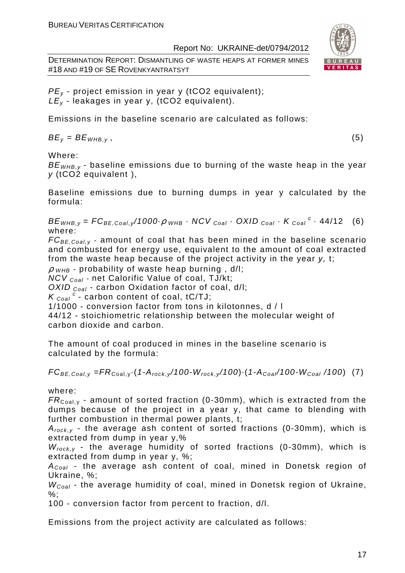DETERMINATION REPORT: DISMANTLING OF WASTE HEAPS AT FORMER MINES #18 AND #19 OF SE ROVENKYANTRATSYT



 $PE<sub>v</sub>$  - project emission in year y (tCO2 equivalent);  $LE_v$  - leakages in year y, (tCO2 equivalent).

Emissions in the baseline scenario are calculated as follows:

 $BE_v = BE_{WHB,v}$ , (5)

Where:

 $BE<sub>WHB,V</sub>$  - baseline emissions due to burning of the waste heap in the year y (tCO2 equivalent ),

Baseline emissions due to burning dumps in year y calculated by the formula:

 $BE_{WHB,y} = FC_{BE,Coal,y}$ /1000 $\rho_{WHB}$  · NCV  $_{Coal}$  · OXID  $_{Coal}$  · K  $_{Coal}$  <sup>c</sup> · 44/12 (6) where:

 $FC_{BE,Coal, y}$  - amount of coal that has been mined in the baseline scenario and combusted for energy use, equivalent to the amount of coal extracted from the waste heap because of the project activity in the year y, t;

 $\rho$  <sub>WHB</sub> - probability of waste heap burning , d/l;

 $NCV_{Coal}$  - net Calorific Value of coal, TJ/kt;

OXID  $_{Coal}$  - carbon Oxidation factor of coal, d/l;

 $K_{\text{Coal}}^c$  - carbon content of coal, tC/TJ;

1/1000 - conversion factor from tons in kilotonnes, d / l

44/12 - stoichiometric relationship between the molecular weight of carbon dioxide and carbon.

The amount of coal produced in mines in the baseline scenario is calculated by the formula:

 $FC_{BE,Coal,y} = FR_{Coal,y} \cdot (1-A_{rock,y}/100-W_{rock,y}/100) \cdot (1-A_{Coal}/100-W_{Coal}/100)$  (7)

where:

 $FR_{\text{Coal,v}}$  - amount of sorted fraction (0-30mm), which is extracted from the dumps because of the project in a year y, that came to blending with further combustion in thermal power plants, t;

 $A_{rock, v}$  - the average ash content of sorted fractions (0-30mm), which is extracted from dump in year y,%

 $W_{rock, v}$  - the average humidity of sorted fractions (0-30mm), which is extracted from dump in year y, %;

 $A_{Coal}$  - the average ash content of coal, mined in Donetsk region of Ukraine, %;

 $W_{Coal}$  - the average humidity of coal, mined in Donetsk region of Ukraine,  $\%$ :

100 - conversion factor from percent to fraction, d/l.

Emissions from the project activity are calculated as follows: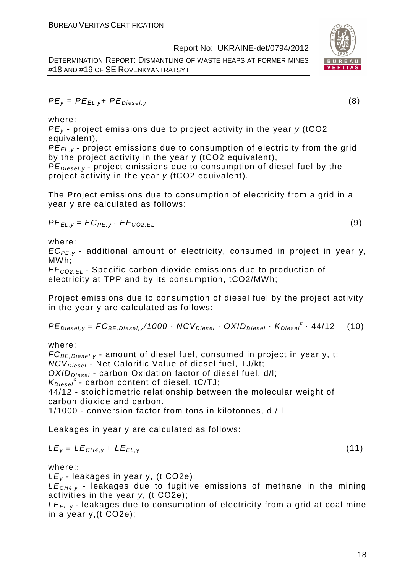DETERMINATION REPORT: DISMANTLING OF WASTE HEAPS AT FORMER MINES #18 AND #19 OF SE ROVENKYANTRATSYT





 $PE_v = PE_{FUV} + PE_{Diesel}$  (8)

where:

 $PE<sub>v</sub>$  - project emissions due to project activity in the year y (tCO2 equivalent),

PE<sub>EL,y</sub> - project emissions due to consumption of electricity from the grid by the project activity in the year y (tCO2 equivalent),

 $PE_{\text{Diesel},\nu}$  - project emissions due to consumption of diesel fuel by the project activity in the year y (tCO2 equivalent).

The Project emissions due to consumption of electricity from a grid in a year y are calculated as follows:

$$
PE_{EL,y} = EC_{PE,y} \cdot EF_{CO2,EL}
$$
 (9)

where:

 $EC_{PE,v}$  - additional amount of electricity, consumed in project in year y, MWh;

EF<sup>C</sup>*О*2,EL - Specific carbon dioxide emissions due to production of electricity at TPP and by its consumption, tCO2/MWh;

Project emissions due to consumption of diesel fuel by the project activity in the year y are calculated as follows:

$$
PEDiesel,y = FCBE,Diesel,y/1000 \cdot NCVDiesel \cdot OXIDDiesel \cdot KDiesel \cdot 44/12
$$
 (10)

where:

 $FC_{BE, Diesel, y}$  - amount of diesel fuel, consumed in project in year y, t;  $NCV<sub>Diesel</sub>$  - Net Calorific Value of diesel fuel, TJ/kt;  $OXID<sub>Diesel</sub>$  - carbon Oxidation factor of diesel fuel, d/l;  $K_{Diesel}^c$  - carbon content of diesel, tC/TJ; 44/12 - stoichiometric relationship between the molecular weight of carbon dioxide and carbon. 1/1000 - conversion factor from tons in kilotonnes, d / l

Leakages in year y are calculated as follows:

$$
LE_y = LE_{CH4,y} + LE_{EL,y}
$$
 (11)

where::

 $LE_v$  - leakages in year y, (t CO2e);

 $LE<sub>CH4,V</sub>$  - leakages due to fugitive emissions of methane in the mining activities in the year y, (t СО2е);

 $LE_{EL, y}$  - leakages due to consumption of electricity from a grid at coal mine in a year y,(t СО2е);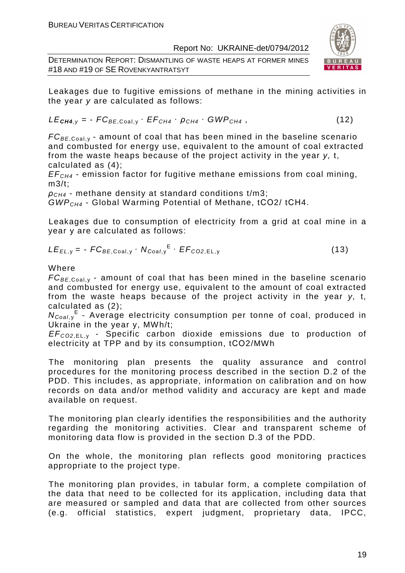DETERMINATION REPORT: DISMANTLING OF WASTE HEAPS AT FORMER MINES #18 AND #19 OF SE ROVENKYANTRATSYT



Leakages due to fugitive emissions of methane in the mining activities in the year y are calculated as follows:

$$
LE_{\text{CH4},y} = -FC_{BE,Coal,y} \cdot EF_{CH4} \cdot \rho_{CH4} \cdot GWP_{CH4}, \qquad (12)
$$

 $FC_{BE, coal,v}$  - amount of coal that has been mined in the baseline scenario and combusted for energy use, equivalent to the amount of coal extracted from the waste heaps because of the project activity in the year  $v$ , t, calculated as (4);

 $EF<sub>CH4</sub>$  - emission factor for fugitive methane emissions from coal mining, m3/t;

 $\rho_{CH4}$  - methane density at standard conditions t/m3;

 $GWP<sub>CH4</sub>$  - Global Warming Potential of Methane, tCO2/ tCH4.

Leakages due to consumption of electricity from a grid at coal mine in a year y are calculated as follows:

$$
LE_{EL,y} = -FC_{BE,Coal,y} \cdot N_{Coal,y}^{E} \cdot EF_{CO2,EL,y}
$$
 (13)

### Where

 $FC_{BE, coal,v}$  - amount of coal that has been mined in the baseline scenario and combusted for energy use, equivalent to the amount of coal extracted from the waste heaps because of the project activity in the year y, t, calculated as (2);

N<sub>Coal,y</sub><sup>E</sup> - Average electricity consumption per tonne of coal, produced in Ukraine in the year y, MWh/t;

EF<sup>C</sup>*О*2,EL, <sup>у</sup> - Specific carbon dioxide emissions due to production of electricity at TPP and by its consumption, tСО2/MWh

The monitoring plan presents the quality assurance and control procedures for the monitoring process described in the section D.2 of the PDD. This includes, as appropriate, information on calibration and on how records on data and/or method validity and accuracy are kept and made available on request.

The monitoring plan clearly identifies the responsibilities and the authority regarding the monitoring activities. Clear and transparent scheme of monitoring data flow is provided in the section D.3 of the PDD.

On the whole, the monitoring plan reflects good monitoring practices appropriate to the project type.

The monitoring plan provides, in tabular form, a complete compilation of the data that need to be collected for its application, including data that are measured or sampled and data that are collected from other sources (e.g. official statistics, expert judgment, proprietary data, IPCC,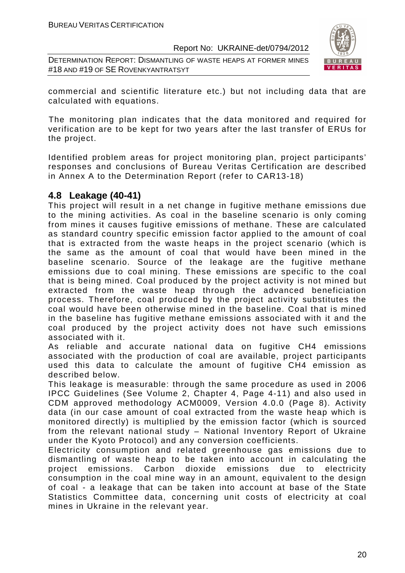DETERMINATION REPORT: DISMANTLING OF WASTE HEAPS AT FORMER MINES #18 AND #19 OF SE ROVENKYANTRATSYT



commercial and scientific literature etc.) but not including data that are calculated with equations.

The monitoring plan indicates that the data monitored and required for verification are to be kept for two years after the last transfer of ERUs for the project.

Identified problem areas for project monitoring plan, project participants' responses and conclusions of Bureau Veritas Certification are described in Annex A to the Determination Report (refer to CAR13-18)

# **4.8 Leakage (40-41)**

This project will result in a net change in fugitive methane emissions due to the mining activities. As coal in the baseline scenario is only coming from mines it causes fugitive emissions of methane. These are calculated as standard country specific emission factor applied to the amount of coal that is extracted from the waste heaps in the project scenario (which is the same as the amount of coal that would have been mined in the baseline scenario. Source of the leakage are the fugitive methane emissions due to coal mining. These emissions are specific to the coal that is being mined. Coal produced by the project activity is not mined but extracted from the waste heap through the advanced beneficiation process. Therefore, coal produced by the project activity substitutes the coal would have been otherwise mined in the baseline. Coal that is mined in the baseline has fugitive methane emissions associated with it and the coal produced by the project activity does not have such emissions associated with it.

As reliable and accurate national data on fugitive CH4 emissions associated with the production of coal are available, project participants used this data to calculate the amount of fugitive CH4 emission as described below.

This leakage is measurable: through the same procedure as used in 2006 IPCC Guidelines (See Volume 2, Chapter 4, Page 4-11) and also used in CDM approved methodology ACM0009, Version 4.0.0 (Page 8). Activity data (in our case amount of coal extracted from the waste heap which is monitored directly) is multiplied by the emission factor (which is sourced from the relevant national study – National Inventory Report of Ukraine under the Kyoto Protocol) and any conversion coefficients.

Electricity consumption and related greenhouse gas emissions due to dismantling of waste heap to be taken into account in calculating the project emissions. Carbon dioxide emissions due to electricity consumption in the coal mine way in an amount, equivalent to the design of coal - a leakage that can be taken into account at base of the State Statistics Committee data, concerning unit costs of electricity at coal mines in Ukraine in the relevant year.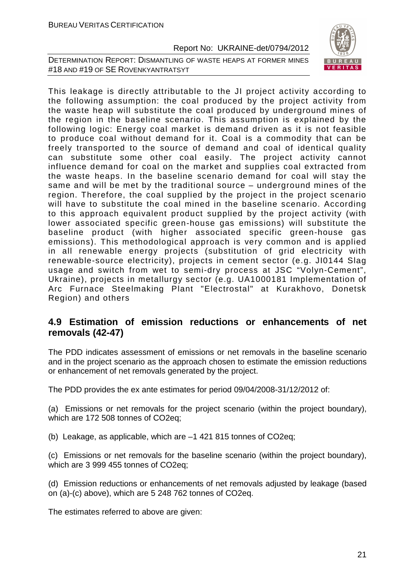



This leakage is directly attributable to the JI project activity according to the following assumption: the coal produced by the project activity from the waste heap will substitute the coal produced by underground mines of the region in the baseline scenario. This assumption is explained by the following logic: Energy coal market is demand driven as it is not feasible to produce coal without demand for it. Coal is a commodity that can be freely transported to the source of demand and coal of identical quality can substitute some other coal easily. The project activity cannot influence demand for coal on the market and supplies coal extracted from the waste heaps. In the baseline scenario demand for coal will stay the same and will be met by the traditional source – underground mines of the region. Therefore, the coal supplied by the project in the project scenario will have to substitute the coal mined in the baseline scenario. According to this approach equivalent product supplied by the project activity (with lower associated specific green-house gas emissions) will substitute the baseline product (with higher associated specific green-house gas emissions). This methodological approach is very common and is applied in all renewable energy projects (substitution of grid electricity with renewable-source electricity), projects in cement sector (e.g. JI0144 Slag usage and switch from wet to semi-dry process at JSC "Volyn-Cement", Ukraine), projects in metallurgy sector (e.g. UA1000181 Implementation of Arc Furnace Steelmaking Plant "Electrostal" at Kurakhovo, Donetsk Region) and others

# **4.9 Estimation of emission reductions or enhancements of net removals (42-47)**

The PDD indicates assessment of emissions or net removals in the baseline scenario and in the project scenario as the approach chosen to estimate the emission reductions or enhancement of net removals generated by the project.

The PDD provides the ex ante estimates for period 09/04/2008-31/12/2012 of:

(a) Emissions or net removals for the project scenario (within the project boundary), which are 172 508 tonnes of CO2eq;

(b) Leakage, as applicable, which are –1 421 815 tonnes of CO2eq;

(c) Emissions or net removals for the baseline scenario (within the project boundary), which are 3 999 455 tonnes of CO2eq;

(d) Emission reductions or enhancements of net removals adjusted by leakage (based on (a)-(c) above), which are 5 248 762 tonnes of CO2eq.

The estimates referred to above are given: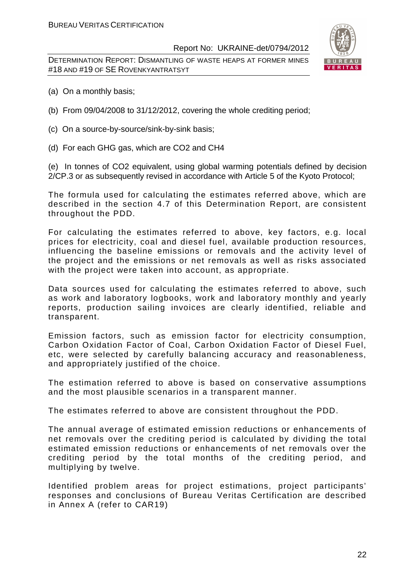DETERMINATION REPORT: DISMANTLING OF WASTE HEAPS AT FORMER MINES #18 AND #19 OF SE ROVENKYANTRATSYT



- (a) On a monthly basis;
- (b) From 09/04/2008 to 31/12/2012, covering the whole crediting period;
- (c) On a source-by-source/sink-by-sink basis;
- (d) For each GHG gas, which are CO2 and CH4

(e) In tonnes of CO2 equivalent, using global warming potentials defined by decision 2/CP.3 or as subsequently revised in accordance with Article 5 of the Kyoto Protocol;

The formula used for calculating the estimates referred above, which are described in the section 4.7 of this Determination Report, are consistent throughout the PDD.

For calculating the estimates referred to above, key factors, e.g. local prices for electricity, coal and diesel fuel, available production resources, influencing the baseline emissions or removals and the activity level of the project and the emissions or net removals as well as risks associated with the project were taken into account, as appropriate.

Data sources used for calculating the estimates referred to above, such as work and laboratory logbooks, work and laboratory monthly and yearly reports, production sailing invoices are clearly identified, reliable and transparent.

Emission factors, such as emission factor for electricity consumption, Carbon Oxidation Factor of Coal, Carbon Oxidation Factor of Diesel Fuel, etc, were selected by carefully balancing accuracy and reasonableness, and appropriately justified of the choice.

The estimation referred to above is based on conservative assumptions and the most plausible scenarios in a transparent manner.

The estimates referred to above are consistent throughout the PDD.

The annual average of estimated emission reductions or enhancements of net removals over the crediting period is calculated by dividing the total estimated emission reductions or enhancements of net removals over the crediting period by the total months of the crediting period, and multiplying by twelve.

Identified problem areas for project estimations, project participants' responses and conclusions of Bureau Veritas Certification are described in Annex A (refer to CAR19)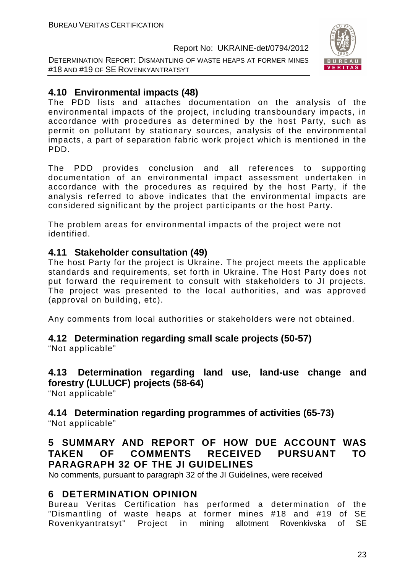DETERMINATION REPORT: DISMANTLING OF WASTE HEAPS AT FORMER MINES #18 AND #19 OF SE ROVENKYANTRATSYT



# **4.10 Environmental impacts (48)**

The PDD lists and attaches documentation on the analysis of the environmental impacts of the project, including transboundary impacts, in accordance with procedures as determined by the host Party, such as permit on pollutant by stationary sources, analysis of the environmental impacts, a part of separation fabric work project which is mentioned in the PDD.

The PDD provides conclusion and all references to supporting documentation of an environmental impact assessment undertaken in accordance with the procedures as required by the host Party, if the analysis referred to above indicates that the environmental impacts are considered significant by the project participants or the host Party.

The problem areas for environmental impacts of the project were not identified.

# **4.11 Stakeholder consultation (49)**

The host Party for the project is Ukraine. The project meets the applicable standards and requirements, set forth in Ukraine. The Host Party does not put forward the requirement to consult with stakeholders to JI projects. The project was presented to the local authorities, and was approved (approval on building, etc).

Any comments from local authorities or stakeholders were not obtained.

# **4.12 Determination regarding small scale projects (50-57)**

"Not applicable"

# **4.13 Determination regarding land use, land-use change and forestry (LULUCF) projects (58-64)**

"Not applicable"

#### **4.14 Determination regarding programmes of activities (65-73)**  "Not applicable"

# **5 SUMMARY AND REPORT OF HOW DUE ACCOUNT WAS TAKEN OF COMMENTS RECEIVED PURSUANT TO PARAGRAPH 32 OF THE JI GUIDELINES**

No comments, pursuant to paragraph 32 of the JI Guidelines, were received

# **6 DETERMINATION OPINION**

Bureau Veritas Certification has performed a determination of the "Dismantling of waste heaps at former mines #18 and #19 of SE Rovenkyantratsyt" Project in mining allotment Rovenkivska of SE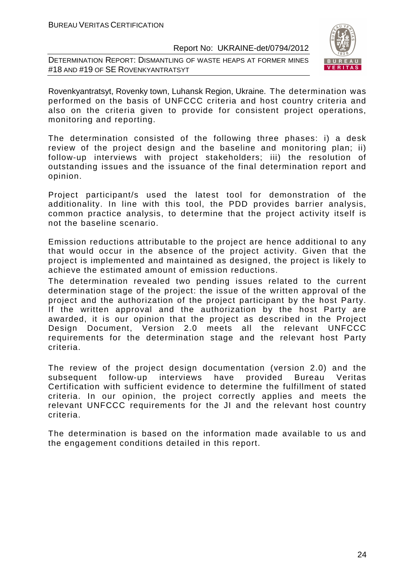DETERMINATION REPORT: DISMANTLING OF WASTE HEAPS AT FORMER MINES #18 AND #19 OF SE ROVENKYANTRATSYT



Rovenkyantratsyt, Rovenky town, Luhansk Region, Ukraine. The determination was performed on the basis of UNFCCC criteria and host country criteria and also on the criteria given to provide for consistent project operations, monitoring and reporting.

The determination consisted of the following three phases: i) a desk review of the project design and the baseline and monitoring plan; ii) follow-up interviews with project stakeholders; iii) the resolution of outstanding issues and the issuance of the final determination report and opinion.

Project participant/s used the latest tool for demonstration of the additionality. In line with this tool, the PDD provides barrier analysis, common practice analysis, to determine that the project activity itself is not the baseline scenario.

Emission reductions attributable to the project are hence additional to any that would occur in the absence of the project activity. Given that the project is implemented and maintained as designed, the project is likely to achieve the estimated amount of emission reductions.

The determination revealed two pending issues related to the current determination stage of the project: the issue of the written approval of the project and the authorization of the project participant by the host Party. If the written approval and the authorization by the host Party are awarded, it is our opinion that the project as described in the Project Design Document, Version 2.0 meets all the relevant UNFCCC requirements for the determination stage and the relevant host Party criteria.

The review of the project design documentation (version 2.0) and the subsequent follow-up interviews have provided Bureau Veritas Certification with sufficient evidence to determine the fulfillment of stated criteria. In our opinion, the project correctly applies and meets the relevant UNFCCC requirements for the JI and the relevant host country criteria.

The determination is based on the information made available to us and the engagement conditions detailed in this report.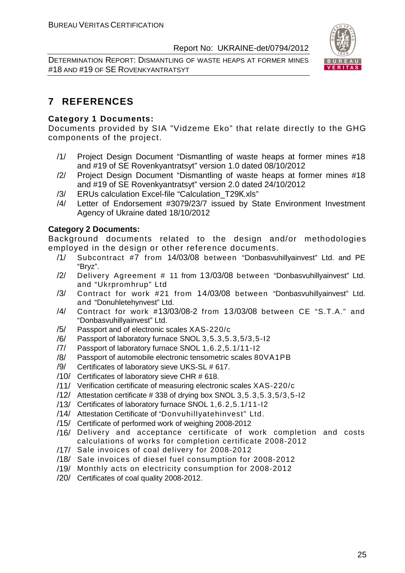DETERMINATION REPORT: DISMANTLING OF WASTE HEAPS AT FORMER MINES #18 AND #19 OF SE ROVENKYANTRATSYT



# **7 REFERENCES**

## **Category 1 Documents:**

Documents provided by SIA "Vidzeme Eko" that relate directly to the GHG components of the project.

- /1/ Project Design Document "Dismantling of waste heaps at former mines #18 and #19 of SE Rovenkyantratsyt" version 1.0 dated 08/10/2012
- /2/ Project Design Document "Dismantling of waste heaps at former mines #18 and #19 of SE Rovenkyantratsyt" version 2.0 dated 24/10/2012
- /3/ ERUs calculation Excel-file "Calculation\_T29К.xls"
- /4/ Letter of Endorsement #3079/23/7 issued by State Environment Investment Agency of Ukraine dated 18/10/2012

### **Category 2 Documents:**

Background documents related to the design and/or methodologies employed in the design or other reference documents.

- /1/ Subcontract #7 from 14/03/08 between "Donbasvuhillyainvest" Ltd. and PE "Bryz".
- /2/ Delivery Agreement # 11 from 13/03/08 between "Donbasvuhillyainvest" Ltd. and "Ukrpromhrup" Ltd
- /3/ Contract for work #21 from 14/03/08 between "Donbasvuhillyainvest" Ltd. and "Donuhletehynvest" Ltd.
- /4/ Contract for work #13/03/08-2 from 13/03/08 between CE "S.T.A." and "Donbasvuhillyainvest" Ltd.
- /5/ Passport and of electronic scales XAS-220/c
- /6/ Passport of laboratory furnace SNOL 3,5.3,5.3,5/3,5-I2
- /7/ Passport of laboratory furnace SNOL 1,6.2,5.1/11-I2
- /8/ Passport of automobile electronic tensometric scales 80VА1PB
- /9/ Certificates of laboratory sieve UKS-SL # 617.
- /10/ Certificates of laboratory sieve CHR # 618.
- /11/ Verification certificate of measuring electronic scales XAS-220/c
- /12/ Attestation certificate # 338 of drying box SNOL 3,5.3,5.3,5/3,5-I2
- /13/ Certificates of laboratory furnace SNOL 1,6.2,5.1/11-I2
- /14/ Attestation Certificate of "Donvuhillyatehinvest" Ltd.
- /15/ Certificate of performed work of weighing 2008-2012
- /16/ Delivery and acceptance certificate of work completion and costs calculations of works for completion certificate 2008-2012
- /17/ Sale invoices of coal delivery for 2008-2012
- /18/ Sale invoices of diesel fuel consumption for 2008-2012
- /19/ Monthly acts on electricity consumption for 2008-2012
- /20/ Certificates of coal quality 2008-2012.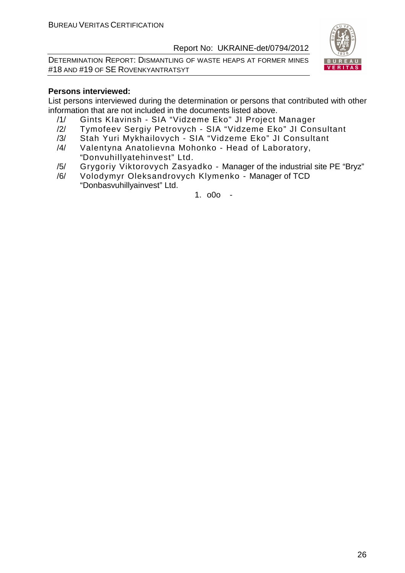DETERMINATION REPORT: DISMANTLING OF WASTE HEAPS AT FORMER MINES #18 AND #19 OF SE ROVENKYANTRATSYT



#### **Persons interviewed:**

List persons interviewed during the determination or persons that contributed with other information that are not included in the documents listed above.

- /1/ Gints KIavinsh SIA "Vidzeme Eko" JI Project Manager
- /2/ Tymofeev Sergiy Petrovych SIA "Vidzeme Eko" JI Consultant
- /3/ Stah Yuri Mykhailovych SIA "Vidzeme Eko" JI Consultant
- /4/ Valentyna Anatolievna Mohonko Head of Laboratory, "Donvuhillyatehinvest" Ltd.
- /5/ Grygoriy Viktorovych Zasyadko Manager of the industrial site PE "Bryz"
- /6/ Volodymyr Oleksandrovych Klymenko Manager of TCD "Donbasvuhillyainvest" Ltd.

1.  $000 -$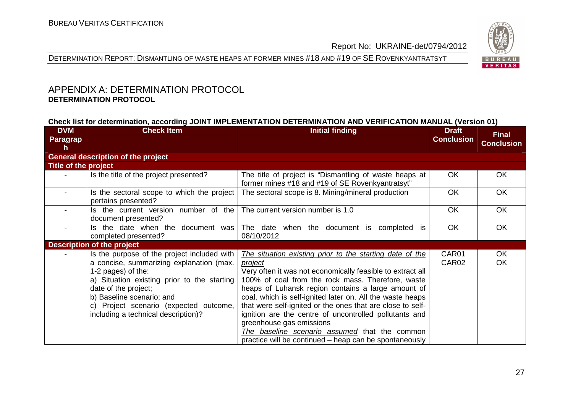

DETERMINATION REPORT: DISMANTLING OF WASTE HEAPS AT FORMER MINES #18 AND #19 OF SE <sup>R</sup>OVENKYANTRATSYT

# APPENDIX A: DETERMINATION PROTOCOL **DETERMINATION PROTOCOL**

#### **Check list for determination, according JOINT IMPLEMENTATION DETERMINATION AND VERIFICATION MANUAL (Version 01)**

| <b>DVM</b><br><b>Paragrap</b><br>h | <b>Check Item</b>                                                                                                                                                                                                                                                                                  | <b>Initial finding</b>                                                                                                                                                                                                                                                                                                                                                                                                                                                                                                                                                          | <b>Draft</b><br><b>Conclusion</b> | <b>Final</b><br><b>Conclusion</b> |
|------------------------------------|----------------------------------------------------------------------------------------------------------------------------------------------------------------------------------------------------------------------------------------------------------------------------------------------------|---------------------------------------------------------------------------------------------------------------------------------------------------------------------------------------------------------------------------------------------------------------------------------------------------------------------------------------------------------------------------------------------------------------------------------------------------------------------------------------------------------------------------------------------------------------------------------|-----------------------------------|-----------------------------------|
|                                    | <b>General description of the project</b>                                                                                                                                                                                                                                                          |                                                                                                                                                                                                                                                                                                                                                                                                                                                                                                                                                                                 |                                   |                                   |
| <b>Title of the project</b>        |                                                                                                                                                                                                                                                                                                    |                                                                                                                                                                                                                                                                                                                                                                                                                                                                                                                                                                                 |                                   |                                   |
|                                    | Is the title of the project presented?                                                                                                                                                                                                                                                             | The title of project is "Dismantling of waste heaps at<br>former mines #18 and #19 of SE Rovenkyantratsyt"                                                                                                                                                                                                                                                                                                                                                                                                                                                                      | <b>OK</b>                         | OK                                |
|                                    | Is the sectoral scope to which the project<br>pertains presented?                                                                                                                                                                                                                                  | The sectoral scope is 8. Mining/mineral production                                                                                                                                                                                                                                                                                                                                                                                                                                                                                                                              | <b>OK</b>                         | <b>OK</b>                         |
|                                    | Is the current version number of the<br>document presented?                                                                                                                                                                                                                                        | The current version number is 1.0                                                                                                                                                                                                                                                                                                                                                                                                                                                                                                                                               | <b>OK</b>                         | <b>OK</b>                         |
|                                    | Is the date when the document was<br>completed presented?                                                                                                                                                                                                                                          | The date when the document is<br>completed is<br>08/10/2012                                                                                                                                                                                                                                                                                                                                                                                                                                                                                                                     | <b>OK</b>                         | OK                                |
|                                    | <b>Description of the project</b>                                                                                                                                                                                                                                                                  |                                                                                                                                                                                                                                                                                                                                                                                                                                                                                                                                                                                 |                                   |                                   |
|                                    | Is the purpose of the project included with<br>a concise, summarizing explanation (max.<br>1-2 pages) of the:<br>a) Situation existing prior to the starting<br>date of the project;<br>b) Baseline scenario; and<br>c) Project scenario (expected outcome,<br>including a technical description)? | The situation existing prior to the starting date of the<br><i>project</i><br>Very often it was not economically feasible to extract all<br>100% of coal from the rock mass. Therefore, waste<br>heaps of Luhansk region contains a large amount of<br>coal, which is self-ignited later on. All the waste heaps<br>that were self-ignited or the ones that are close to self-<br>ignition are the centre of uncontrolled pollutants and<br>greenhouse gas emissions<br>The baseline scenario assumed that the common<br>practice will be continued – heap can be spontaneously | CAR01<br>CAR02                    | <b>OK</b><br><b>OK</b>            |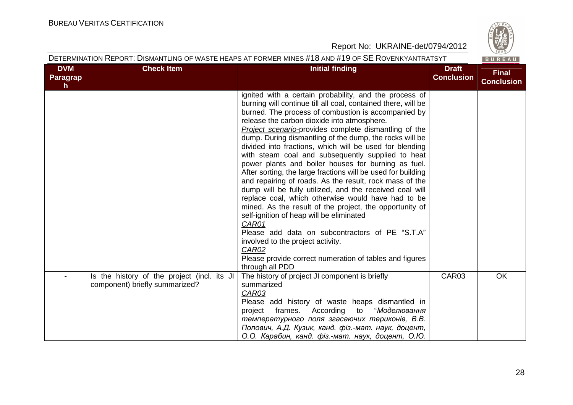

|  | DETERMINATION REPORT: DISMANTLING OF WASTE HEAPS AT FORMER MINES #18 AND #19 OF SE ROVENKYANTRATSYT |  |
|--|-----------------------------------------------------------------------------------------------------|--|
|  |                                                                                                     |  |

| <b>DVM</b>      | <b>Check Item</b>                                                             | <b>Initial finding</b>                                                                                                                                                                                                                                                                                                                                                                                                                                                                                                                                                                                                                                                                                                                                                                                                                                                                                                                                                                       | <b>Draft</b>      | <b>Final</b>      |
|-----------------|-------------------------------------------------------------------------------|----------------------------------------------------------------------------------------------------------------------------------------------------------------------------------------------------------------------------------------------------------------------------------------------------------------------------------------------------------------------------------------------------------------------------------------------------------------------------------------------------------------------------------------------------------------------------------------------------------------------------------------------------------------------------------------------------------------------------------------------------------------------------------------------------------------------------------------------------------------------------------------------------------------------------------------------------------------------------------------------|-------------------|-------------------|
| <b>Paragrap</b> |                                                                               |                                                                                                                                                                                                                                                                                                                                                                                                                                                                                                                                                                                                                                                                                                                                                                                                                                                                                                                                                                                              | <b>Conclusion</b> | <b>Conclusion</b> |
| $\mathsf{h}$    |                                                                               | ignited with a certain probability, and the process of<br>burning will continue till all coal, contained there, will be<br>burned. The process of combustion is accompanied by<br>release the carbon dioxide into atmosphere.<br><b>Project scenario-provides complete dismantling of the</b><br>dump. During dismantling of the dump, the rocks will be<br>divided into fractions, which will be used for blending<br>with steam coal and subsequently supplied to heat<br>power plants and boiler houses for burning as fuel.<br>After sorting, the large fractions will be used for building<br>and repairing of roads. As the result, rock mass of the<br>dump will be fully utilized, and the received coal will<br>replace coal, which otherwise would have had to be<br>mined. As the result of the project, the opportunity of<br>self-ignition of heap will be eliminated<br>CAR01<br>Please add data on subcontractors of PE "S.T.A"<br>involved to the project activity.<br>CAR02 |                   |                   |
|                 |                                                                               | Please provide correct numeration of tables and figures<br>through all PDD                                                                                                                                                                                                                                                                                                                                                                                                                                                                                                                                                                                                                                                                                                                                                                                                                                                                                                                   |                   |                   |
|                 | Is the history of the project (incl. its JI<br>component) briefly summarized? | The history of project JI component is briefly<br>summarized<br>CAR03<br>Please add history of waste heaps dismantled in<br>"Моделювання<br>frames. According<br>to<br>project<br>температурного поля згасаючих териконів, В.В.<br>Попович, А.Д. Кузик, канд. фіз.-мат. наук, доцент,<br>О.О. Карабин, канд. фіз.-мат. наук, доцент, О.Ю.                                                                                                                                                                                                                                                                                                                                                                                                                                                                                                                                                                                                                                                    | CAR03             | OK                |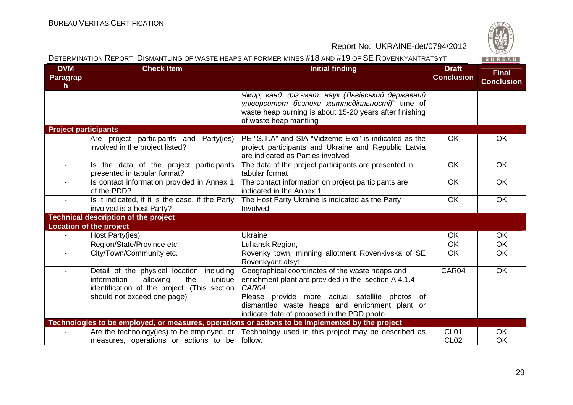

|                                    | DETERMINATION REPORT: DISMANTLING OF WASTE HEAPS AT FORMER MINES #18 AND #19 OF SE ROVENKYANTRATSYT<br>BUREAU                                                         |                                                                                                                                                                                                                                                                    |                                   |                                   |  |
|------------------------------------|-----------------------------------------------------------------------------------------------------------------------------------------------------------------------|--------------------------------------------------------------------------------------------------------------------------------------------------------------------------------------------------------------------------------------------------------------------|-----------------------------------|-----------------------------------|--|
| <b>DVM</b><br><b>Paragrap</b><br>h | <b>Check Item</b>                                                                                                                                                     | <b>Initial finding</b>                                                                                                                                                                                                                                             | <b>Draft</b><br><b>Conclusion</b> | <b>Final</b><br><b>Conclusion</b> |  |
|                                    |                                                                                                                                                                       | Чмир, канд. фіз.-мат. наук (Львівський державний<br>університет безпеки життєдіяльності)" time of<br>waste heap burning is about 15-20 years after finishing<br>of waste heap mantling                                                                             |                                   |                                   |  |
| <b>Project participants</b>        |                                                                                                                                                                       |                                                                                                                                                                                                                                                                    |                                   |                                   |  |
|                                    | Are project participants and Party(ies)<br>involved in the project listed?                                                                                            | PE "S.T.A" and SIA "Vidzeme Eko" is indicated as the<br>project participants and Ukraine and Republic Latvia<br>are indicated as Parties involved                                                                                                                  | <b>OK</b>                         | OK                                |  |
|                                    | Is the data of the project participants<br>presented in tabular format?                                                                                               | The data of the project participants are presented in<br>tabular format                                                                                                                                                                                            | <b>OK</b>                         | <b>OK</b>                         |  |
| $\blacksquare$                     | Is contact information provided in Annex 1<br>of the PDD?                                                                                                             | The contact information on project participants are<br>indicated in the Annex 1                                                                                                                                                                                    | OK                                | OK                                |  |
|                                    | Is it indicated, if it is the case, if the Party<br>involved is a host Party?                                                                                         | The Host Party Ukraine is indicated as the Party<br>Involved                                                                                                                                                                                                       | OK                                | OK                                |  |
|                                    | <b>Technical description of the project</b>                                                                                                                           |                                                                                                                                                                                                                                                                    |                                   |                                   |  |
|                                    | <b>Location of the project</b>                                                                                                                                        |                                                                                                                                                                                                                                                                    |                                   |                                   |  |
|                                    | Host Party(ies)                                                                                                                                                       | Ukraine                                                                                                                                                                                                                                                            | <b>OK</b>                         | <b>OK</b>                         |  |
| $\overline{\phantom{a}}$           | Region/State/Province etc.                                                                                                                                            | Luhansk Region,                                                                                                                                                                                                                                                    | OK                                | OK                                |  |
|                                    | City/Town/Community etc.                                                                                                                                              | Rovenky town, minning allotment Rovenkivska of SE<br>Rovenkyantratsyt                                                                                                                                                                                              | <b>OK</b>                         | OK                                |  |
| $\overline{\phantom{0}}$           | Detail of the physical location, including<br>information<br>allowing<br>the<br>unique<br>identification of the project. (This section<br>should not exceed one page) | Geographical coordinates of the waste heaps and<br>enrichment plant are provided in the section A.4.1.4<br>CAR04<br>Please provide more actual satellite photos of<br>dismantled waste heaps and enrichment plant or<br>indicate date of proposed in the PDD photo | CAR04                             | OK                                |  |
|                                    |                                                                                                                                                                       | Technologies to be employed, or measures, operations or actions to be implemented by the project                                                                                                                                                                   |                                   |                                   |  |
|                                    | measures, operations or actions to be follow.                                                                                                                         | Are the technology(ies) to be employed, or   Technology used in this project may be described as                                                                                                                                                                   | CL <sub>01</sub><br><b>CL02</b>   | <b>OK</b><br><b>OK</b>            |  |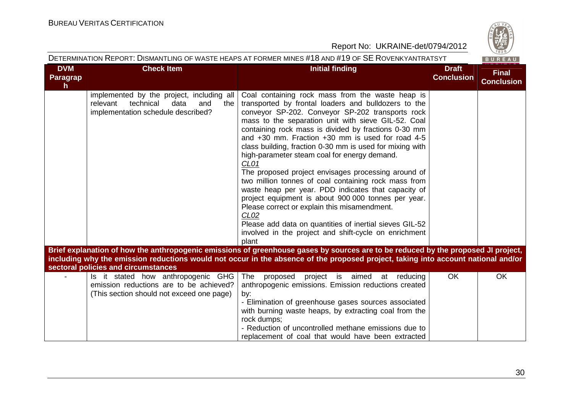|                                                                                                                                                                                                                                                                                                               |                                                                                                                                | Report No: UKRAINE-det/0794/2012                                                                                                                                                                                                                                                                                                                                                                                                                                                                                                                                                                                                                                                                                                                                                                                                                                                                  |                                   | $\frac{72}{1828}$                 |
|---------------------------------------------------------------------------------------------------------------------------------------------------------------------------------------------------------------------------------------------------------------------------------------------------------------|--------------------------------------------------------------------------------------------------------------------------------|---------------------------------------------------------------------------------------------------------------------------------------------------------------------------------------------------------------------------------------------------------------------------------------------------------------------------------------------------------------------------------------------------------------------------------------------------------------------------------------------------------------------------------------------------------------------------------------------------------------------------------------------------------------------------------------------------------------------------------------------------------------------------------------------------------------------------------------------------------------------------------------------------|-----------------------------------|-----------------------------------|
|                                                                                                                                                                                                                                                                                                               |                                                                                                                                | DETERMINATION REPORT: DISMANTLING OF WASTE HEAPS AT FORMER MINES #18 AND #19 OF SE ROVENKYANTRATSYT                                                                                                                                                                                                                                                                                                                                                                                                                                                                                                                                                                                                                                                                                                                                                                                               |                                   | BUREAU                            |
| <b>DVM</b><br>Paragrap<br>h.                                                                                                                                                                                                                                                                                  | <b>Check Item</b>                                                                                                              | <b>Initial finding</b>                                                                                                                                                                                                                                                                                                                                                                                                                                                                                                                                                                                                                                                                                                                                                                                                                                                                            | <b>Draft</b><br><b>Conclusion</b> | <b>Final</b><br><b>Conclusion</b> |
|                                                                                                                                                                                                                                                                                                               | implemented by the project, including all<br>relevant<br>technical<br>data<br>and<br>the<br>implementation schedule described? | Coal containing rock mass from the waste heap is<br>transported by frontal loaders and bulldozers to the<br>conveyor SP-202. Conveyor SP-202 transports rock<br>mass to the separation unit with sieve GIL-52. Coal<br>containing rock mass is divided by fractions 0-30 mm<br>and $+30$ mm. Fraction $+30$ mm is used for road 4-5<br>class building, fraction 0-30 mm is used for mixing with<br>high-parameter steam coal for energy demand.<br>CL <sub>01</sub><br>The proposed project envisages processing around of<br>two million tonnes of coal containing rock mass from<br>waste heap per year. PDD indicates that capacity of<br>project equipment is about 900 000 tonnes per year.<br>Please correct or explain this misamendment.<br>CL <sub>02</sub><br>Please add data on quantities of inertial sieves GIL-52<br>involved in the project and shift-cycle on enrichment<br>plant |                                   |                                   |
| Brief explanation of how the anthropogenic emissions of greenhouse gases by sources are to be reduced by the proposed JI project,<br>including why the emission reductions would not occur in the absence of the proposed project, taking into account national and/or<br>sectoral policies and circumstances |                                                                                                                                |                                                                                                                                                                                                                                                                                                                                                                                                                                                                                                                                                                                                                                                                                                                                                                                                                                                                                                   |                                   |                                   |
|                                                                                                                                                                                                                                                                                                               | Is it stated how anthropogenic GHG<br>emission reductions are to be achieved?<br>(This section should not exceed one page)     | The<br>proposed<br>project is aimed at<br>reducing<br>anthropogenic emissions. Emission reductions created<br>by:<br>- Elimination of greenhouse gases sources associated<br>with burning waste heaps, by extracting coal from the<br>rock dumps;<br>- Reduction of uncontrolled methane emissions due to<br>replacement of coal that would have been extracted                                                                                                                                                                                                                                                                                                                                                                                                                                                                                                                                   | <b>OK</b>                         | <b>OK</b>                         |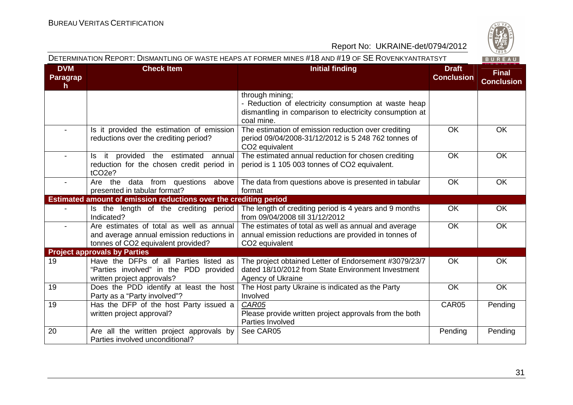

| <b>DVM</b><br><b>Paragrap</b> | <b>Check Item</b>                                                                                                           | <b>Initial finding</b>                                                                                                                           | <b>Draft</b><br><b>Conclusion</b> | <b>Final</b><br><b>Conclusion</b> |
|-------------------------------|-----------------------------------------------------------------------------------------------------------------------------|--------------------------------------------------------------------------------------------------------------------------------------------------|-----------------------------------|-----------------------------------|
| h                             |                                                                                                                             | through mining;<br>- Reduction of electricity consumption at waste heap<br>dismantling in comparison to electricity consumption at<br>coal mine. |                                   |                                   |
| $\blacksquare$                | Is it provided the estimation of emission<br>reductions over the crediting period?                                          | The estimation of emission reduction over crediting<br>period 09/04/2008-31/12/2012 is 5 248 762 tonnes of<br>CO2 equivalent                     | <b>OK</b>                         | OK                                |
| $\blacksquare$                | Is it provided the estimated annual<br>reduction for the chosen credit period in<br>tCO <sub>2e</sub> ?                     | The estimated annual reduction for chosen crediting<br>period is 1 105 003 tonnes of CO2 equivalent.                                             | OK                                | OK                                |
| $\sim$                        | Are the data from questions above<br>presented in tabular format?                                                           | The data from questions above is presented in tabular<br>format                                                                                  | <b>OK</b>                         | <b>OK</b>                         |
|                               | Estimated amount of emission reductions over the crediting period                                                           |                                                                                                                                                  |                                   |                                   |
|                               | Is the length of the crediting period<br>Indicated?                                                                         | The length of crediting period is 4 years and 9 months<br>from 09/04/2008 till 31/12/2012                                                        | <b>OK</b>                         | OK                                |
| $\overline{\phantom{0}}$      | Are estimates of total as well as annual<br>and average annual emission reductions in<br>tonnes of CO2 equivalent provided? | The estimates of total as well as annual and average<br>annual emission reductions are provided in tonnes of<br>CO <sub>2</sub> equivalent       | <b>OK</b>                         | OK                                |
|                               | <b>Project approvals by Parties</b>                                                                                         |                                                                                                                                                  |                                   |                                   |
| 19                            | Have the DFPs of all Parties listed as<br>"Parties involved" in the PDD provided<br>written project approvals?              | The project obtained Letter of Endorsement #3079/23/7<br>dated 18/10/2012 from State Environment Investment<br>Agency of Ukraine                 | <b>OK</b>                         | OK                                |
| 19                            | Does the PDD identify at least the host<br>Party as a "Party involved"?                                                     | The Host party Ukraine is indicated as the Party<br>Involved                                                                                     | <b>OK</b>                         | <b>OK</b>                         |
| 19                            | Has the DFP of the host Party issued a<br>written project approval?                                                         | CAR05<br>Please provide written project approvals from the both<br>Parties Involved                                                              | CAR05                             | Pending                           |
| 20                            | Are all the written project approvals by<br>Parties involved unconditional?                                                 | See CAR05                                                                                                                                        | Pending                           | Pending                           |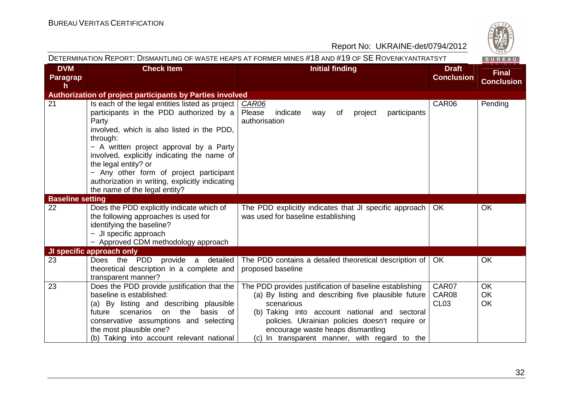

|                             |                                                                                                                                                                                                                                                                                                                                                                                                                | DETERMINATION REPORT: DISMANTLING OF WASTE HEAPS AT FORMER MINES #18 AND #19 OF SE ROVENKYANTRATSYT                                                                                                                                                                                                                    |                                    | BUREAU                            |
|-----------------------------|----------------------------------------------------------------------------------------------------------------------------------------------------------------------------------------------------------------------------------------------------------------------------------------------------------------------------------------------------------------------------------------------------------------|------------------------------------------------------------------------------------------------------------------------------------------------------------------------------------------------------------------------------------------------------------------------------------------------------------------------|------------------------------------|-----------------------------------|
| <b>DVM</b><br>Paragrap<br>h | <b>Check Item</b>                                                                                                                                                                                                                                                                                                                                                                                              | <b>Initial finding</b>                                                                                                                                                                                                                                                                                                 | <b>Draft</b><br><b>Conclusion</b>  | <b>Final</b><br><b>Conclusion</b> |
|                             | Authorization of project participants by Parties involved                                                                                                                                                                                                                                                                                                                                                      |                                                                                                                                                                                                                                                                                                                        |                                    |                                   |
| 21                          | Is each of the legal entities listed as project<br>participants in the PDD authorized by a<br>Party<br>involved, which is also listed in the PDD,<br>through:<br>- A written project approval by a Party<br>involved, explicitly indicating the name of<br>the legal entity? or<br>- Any other form of project participant<br>authorization in writing, explicitly indicating<br>the name of the legal entity? | CAR06<br>Please<br>indicate<br>participants<br>of<br>project<br>way<br>authorisation                                                                                                                                                                                                                                   | CAR06                              | Pending                           |
| <b>Baseline setting</b>     |                                                                                                                                                                                                                                                                                                                                                                                                                |                                                                                                                                                                                                                                                                                                                        |                                    |                                   |
| 22                          | Does the PDD explicitly indicate which of<br>the following approaches is used for<br>identifying the baseline?<br>- JI specific approach<br>- Approved CDM methodology approach                                                                                                                                                                                                                                | The PDD explicitly indicates that JI specific approach<br>was used for baseline establishing                                                                                                                                                                                                                           | OK.                                | <b>OK</b>                         |
|                             | JI specific approach only                                                                                                                                                                                                                                                                                                                                                                                      |                                                                                                                                                                                                                                                                                                                        |                                    |                                   |
| 23                          | Does the PDD<br>provide a detailed<br>theoretical description in a complete and<br>transparent manner?                                                                                                                                                                                                                                                                                                         | The PDD contains a detailed theoretical description of<br>proposed baseline                                                                                                                                                                                                                                            | OK.                                | <b>OK</b>                         |
| 23                          | Does the PDD provide justification that the<br>baseline is established:<br>(a) By listing and describing plausible<br>future scenarios<br>basis<br>on the<br>of<br>conservative assumptions and selecting<br>the most plausible one?<br>(b) Taking into account relevant national                                                                                                                              | The PDD provides justification of baseline establishing<br>(a) By listing and describing five plausible future<br>scenarious<br>(b) Taking into account national and sectoral<br>policies. Ukrainian policies doesn't require or<br>encourage waste heaps dismantling<br>(c) In transparent manner, with regard to the | CAR07<br>CAR08<br>CL <sub>03</sub> | OK<br><b>OK</b><br>OK             |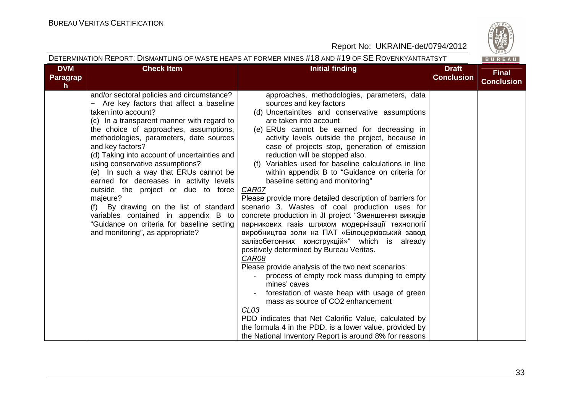BUREAU

#### Report No: UKRAINE-det/0794/2012

| <b>DVM</b>            | <b>Check Item</b>                                                                                                                                                                                                                                                                                                                                                                                                                                                                                                                                                                                                                                                  | <b>Initial finding</b>                                                                                                                                                                                                                                                                                                                                                                                                                                                                                                                                                                                                                                                                                                                                                                                                                                                                                                                                                                                                                                                                                                                                                                                                                                                             | <b>Draft</b>      | <b>Final</b>      |
|-----------------------|--------------------------------------------------------------------------------------------------------------------------------------------------------------------------------------------------------------------------------------------------------------------------------------------------------------------------------------------------------------------------------------------------------------------------------------------------------------------------------------------------------------------------------------------------------------------------------------------------------------------------------------------------------------------|------------------------------------------------------------------------------------------------------------------------------------------------------------------------------------------------------------------------------------------------------------------------------------------------------------------------------------------------------------------------------------------------------------------------------------------------------------------------------------------------------------------------------------------------------------------------------------------------------------------------------------------------------------------------------------------------------------------------------------------------------------------------------------------------------------------------------------------------------------------------------------------------------------------------------------------------------------------------------------------------------------------------------------------------------------------------------------------------------------------------------------------------------------------------------------------------------------------------------------------------------------------------------------|-------------------|-------------------|
| <b>Paragrap</b><br>h. |                                                                                                                                                                                                                                                                                                                                                                                                                                                                                                                                                                                                                                                                    |                                                                                                                                                                                                                                                                                                                                                                                                                                                                                                                                                                                                                                                                                                                                                                                                                                                                                                                                                                                                                                                                                                                                                                                                                                                                                    | <b>Conclusion</b> | <b>Conclusion</b> |
|                       | and/or sectoral policies and circumstance?<br>- Are key factors that affect a baseline<br>taken into account?<br>(c) In a transparent manner with regard to<br>the choice of approaches, assumptions,<br>methodologies, parameters, date sources<br>and key factors?<br>(d) Taking into account of uncertainties and<br>using conservative assumptions?<br>(e) In such a way that ERUs cannot be<br>earned for decreases in activity levels<br>outside the project or due to force<br>majeure?<br>(f) By drawing on the list of standard<br>variables contained in appendix B to<br>"Guidance on criteria for baseline setting<br>and monitoring", as appropriate? | approaches, methodologies, parameters, data<br>sources and key factors<br>(d) Uncertaintites and conservative assumptions<br>are taken into account<br>(e) ERUs cannot be earned for decreasing in<br>activity levels outside the project, because in<br>case of projects stop, generation of emission<br>reduction will be stopped also.<br>(f) Variables used for baseline calculations in line<br>within appendix B to "Guidance on criteria for<br>baseline setting and monitoring"<br>CAR07<br>Please provide more detailed description of barriers for<br>scenario 3. Wastes of coal production uses for<br>concrete production in JI project "Зменшення викидів<br>парникових газів шляхом модернізації технології<br>виробництва золи на ПАТ «Білоцерківський завод<br>залізобетонних конструкцій»" which is already<br>positively determined by Bureau Veritas.<br>CAR08<br>Please provide analysis of the two next scenarios:<br>process of empty rock mass dumping to empty<br>mines' caves<br>forestation of waste heap with usage of green<br>mass as source of CO2 enhancement<br>CLO3<br>PDD indicates that Net Calorific Value, calculated by<br>the formula 4 in the PDD, is a lower value, provided by<br>the National Inventory Report is around 8% for reasons |                   |                   |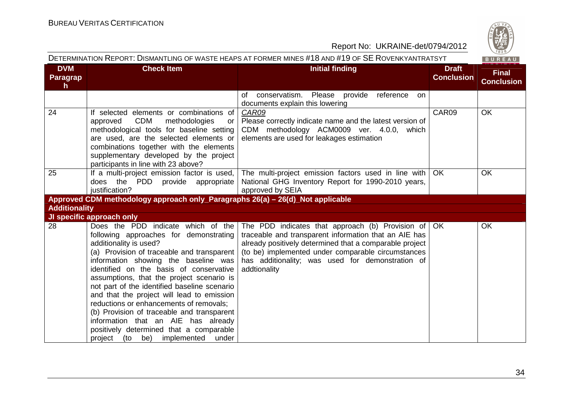

|  | DETERMINATION REPORT: DISMANTLING OF WASTE HEAPS AT FORMER MINES #18 AND #19 OF SE ROVENKYANTRATSYT |  |  |
|--|-----------------------------------------------------------------------------------------------------|--|--|
|  |                                                                                                     |  |  |

| <b>DVM</b>           | <b>Check Item</b>                                                                                     | <b>Initial finding</b>                                                                                        | <b>Draft</b>      | <b>Final</b>      |
|----------------------|-------------------------------------------------------------------------------------------------------|---------------------------------------------------------------------------------------------------------------|-------------------|-------------------|
| Paragrap             |                                                                                                       |                                                                                                               | <b>Conclusion</b> | <b>Conclusion</b> |
| $\mathsf{h}$         |                                                                                                       |                                                                                                               |                   |                   |
|                      |                                                                                                       | conservatism. Please provide<br>reference<br>of<br>on.                                                        |                   |                   |
|                      |                                                                                                       | documents explain this lowering                                                                               | CAR09             |                   |
| 24                   | If selected elements or combinations of<br><b>CDM</b><br>methodologies<br>approved<br>or <sub>l</sub> | CAR09<br>Please correctly indicate name and the latest version of                                             |                   | OK                |
|                      | methodological tools for baseline setting                                                             | CDM methodology ACM0009 ver. 4.0.0, which                                                                     |                   |                   |
|                      | are used, are the selected elements or                                                                | elements are used for leakages estimation                                                                     |                   |                   |
|                      | combinations together with the elements                                                               |                                                                                                               |                   |                   |
|                      | supplementary developed by the project                                                                |                                                                                                               |                   |                   |
|                      | participants in line with 23 above?                                                                   |                                                                                                               |                   |                   |
| 25                   | If a multi-project emission factor is used,                                                           | The multi-project emission factors used in line with                                                          | OK.               | OK                |
|                      | does the PDD provide appropriate                                                                      | National GHG Inventory Report for 1990-2010 years,                                                            |                   |                   |
|                      | justification?                                                                                        | approved by SEIA                                                                                              |                   |                   |
|                      | Approved CDM methodology approach only_Paragraphs 26(a) - 26(d)_Not applicable                        |                                                                                                               |                   |                   |
| <b>Additionality</b> |                                                                                                       |                                                                                                               |                   |                   |
|                      | JI specific approach only                                                                             |                                                                                                               |                   |                   |
| 28                   | Does the PDD indicate which of the                                                                    | The PDD indicates that approach (b) Provision of                                                              | OK                | OK                |
|                      | following approaches for demonstrating                                                                | traceable and transparent information that an AIE has                                                         |                   |                   |
|                      | additionality is used?<br>(a) Provision of traceable and transparent                                  | already positively determined that a comparable project<br>(to be) implemented under comparable circumstances |                   |                   |
|                      | information showing the baseline was                                                                  | has additionality; was used for demonstration of                                                              |                   |                   |
|                      | identified on the basis of conservative                                                               | addtionality                                                                                                  |                   |                   |
|                      | assumptions, that the project scenario is                                                             |                                                                                                               |                   |                   |
|                      | not part of the identified baseline scenario                                                          |                                                                                                               |                   |                   |
|                      | and that the project will lead to emission                                                            |                                                                                                               |                   |                   |
|                      | reductions or enhancements of removals;                                                               |                                                                                                               |                   |                   |
|                      | (b) Provision of traceable and transparent                                                            |                                                                                                               |                   |                   |
|                      | information that an AIE has already                                                                   |                                                                                                               |                   |                   |
|                      | positively determined that a comparable                                                               |                                                                                                               |                   |                   |
|                      | project (to be) implemented<br>under                                                                  |                                                                                                               |                   |                   |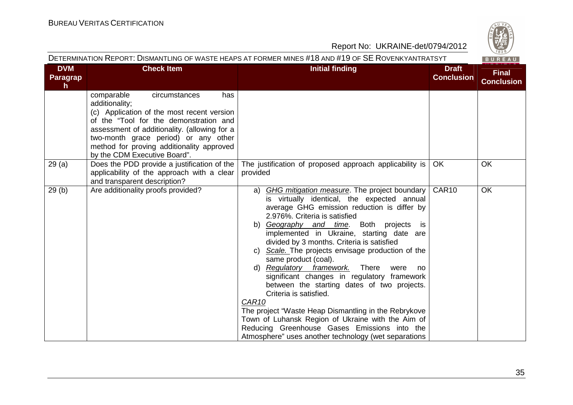|                              |                                                                                                                                                                                                                                                                                                                   | DETERMINATION REPORT: DISMANTLING OF WASTE HEAPS AT FORMER MINES #18 AND #19 OF SE ROVENKYANTRATSYT                                                                                                                                                                                                                                                                                                                                                                                                                                                                                                                                                                                                                                                                                                                         |                                   | BUREAU                            |
|------------------------------|-------------------------------------------------------------------------------------------------------------------------------------------------------------------------------------------------------------------------------------------------------------------------------------------------------------------|-----------------------------------------------------------------------------------------------------------------------------------------------------------------------------------------------------------------------------------------------------------------------------------------------------------------------------------------------------------------------------------------------------------------------------------------------------------------------------------------------------------------------------------------------------------------------------------------------------------------------------------------------------------------------------------------------------------------------------------------------------------------------------------------------------------------------------|-----------------------------------|-----------------------------------|
| <b>DVM</b><br>Paragrap<br>h. | <b>Check Item</b>                                                                                                                                                                                                                                                                                                 | <b>Initial finding</b>                                                                                                                                                                                                                                                                                                                                                                                                                                                                                                                                                                                                                                                                                                                                                                                                      | <b>Draft</b><br><b>Conclusion</b> | <b>Final</b><br><b>Conclusion</b> |
|                              | comparable<br>circumstances<br>has<br>additionality;<br>(c) Application of the most recent version<br>of the "Tool for the demonstration and<br>assessment of additionality. (allowing for a<br>two-month grace period) or any other<br>method for proving additionality approved<br>by the CDM Executive Board". |                                                                                                                                                                                                                                                                                                                                                                                                                                                                                                                                                                                                                                                                                                                                                                                                                             |                                   |                                   |
| 29(a)                        | Does the PDD provide a justification of the<br>applicability of the approach with a clear<br>and transparent description?                                                                                                                                                                                         | The justification of proposed approach applicability is<br>provided                                                                                                                                                                                                                                                                                                                                                                                                                                                                                                                                                                                                                                                                                                                                                         | OK                                | OK                                |
| 29(b)                        | Are additionality proofs provided?                                                                                                                                                                                                                                                                                | a) GHG mitigation measure. The project boundary<br>is virtually identical, the expected annual<br>average GHG emission reduction is differ by<br>2.976%. Criteria is satisfied<br>b) Geography and time. Both projects<br>is i<br>implemented in Ukraine, starting date are<br>divided by 3 months. Criteria is satisfied<br>Scale. The projects envisage production of the<br>C)<br>same product (coal).<br>d) Regulatory framework. There<br>were<br>no<br>significant changes in regulatory framework<br>between the starting dates of two projects.<br>Criteria is satisfied.<br>CAR <sub>10</sub><br>The project "Waste Heap Dismantling in the Rebrykove<br>Town of Luhansk Region of Ukraine with the Aim of<br>Reducing Greenhouse Gases Emissions into the<br>Atmosphere" uses another technology (wet separations | CAR10                             | <b>OK</b>                         |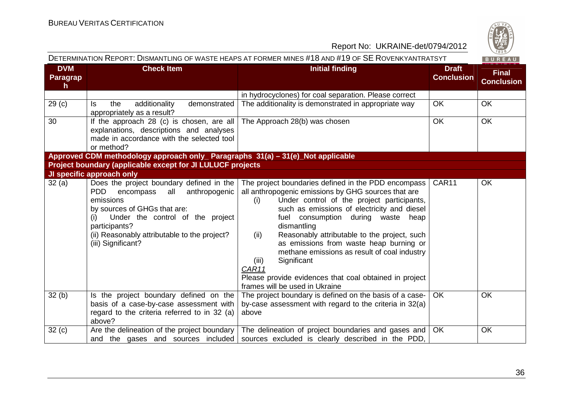

|                                               | DETERMINATION REPORT: DISMANTLING OF WASTE HEAPS AT FORMER MINES #18 AND #19 OF SE ROVENKYANTRATSYT                                                                                                                                                                        |                                                                                                                                                                                                                                                                                                                                                                                                                                                                                                                                                        |                                   | BUREAU                            |  |  |
|-----------------------------------------------|----------------------------------------------------------------------------------------------------------------------------------------------------------------------------------------------------------------------------------------------------------------------------|--------------------------------------------------------------------------------------------------------------------------------------------------------------------------------------------------------------------------------------------------------------------------------------------------------------------------------------------------------------------------------------------------------------------------------------------------------------------------------------------------------------------------------------------------------|-----------------------------------|-----------------------------------|--|--|
| <b>DVM</b><br><b>Paragrap</b><br>$\mathsf{h}$ | <b>Check Item</b>                                                                                                                                                                                                                                                          | <b>Initial finding</b>                                                                                                                                                                                                                                                                                                                                                                                                                                                                                                                                 | <b>Draft</b><br><b>Conclusion</b> | <b>Final</b><br><b>Conclusion</b> |  |  |
|                                               |                                                                                                                                                                                                                                                                            | in hydrocyclones) for coal separation. Please correct                                                                                                                                                                                                                                                                                                                                                                                                                                                                                                  |                                   |                                   |  |  |
| 29 <sub>(c)</sub>                             | additionality<br>demonstrated<br>the<br>ls.<br>appropriately as a result?                                                                                                                                                                                                  | The additionality is demonstrated in appropriate way                                                                                                                                                                                                                                                                                                                                                                                                                                                                                                   | <b>OK</b>                         | <b>OK</b>                         |  |  |
| 30                                            | If the approach 28 (c) is chosen, are all<br>explanations, descriptions and analyses<br>made in accordance with the selected tool<br>or method?                                                                                                                            | The Approach 28(b) was chosen                                                                                                                                                                                                                                                                                                                                                                                                                                                                                                                          | <b>OK</b>                         | <b>OK</b>                         |  |  |
|                                               | Approved CDM methodology approach only_ Paragraphs 31(a) - 31(e)_Not applicable                                                                                                                                                                                            |                                                                                                                                                                                                                                                                                                                                                                                                                                                                                                                                                        |                                   |                                   |  |  |
|                                               | Project boundary (applicable except for JI LULUCF projects                                                                                                                                                                                                                 |                                                                                                                                                                                                                                                                                                                                                                                                                                                                                                                                                        |                                   |                                   |  |  |
|                                               | JI specific approach only                                                                                                                                                                                                                                                  |                                                                                                                                                                                                                                                                                                                                                                                                                                                                                                                                                        |                                   |                                   |  |  |
| 32(a)                                         | Does the project boundary defined in the<br>anthropogenic<br><b>PDD</b><br>encompass<br>all<br>emissions<br>by sources of GHGs that are:<br>Under the control of the project<br>(i)<br>participants?<br>(ii) Reasonably attributable to the project?<br>(iii) Significant? | The project boundaries defined in the PDD encompass<br>all anthropogenic emissions by GHG sources that are<br>Under control of the project participants,<br>(i)<br>such as emissions of electricity and diesel<br>fuel consumption during waste<br>heap<br>dismantling<br>Reasonably attributable to the project, such<br>(ii)<br>as emissions from waste heap burning or<br>methane emissions as result of coal industry<br>Significant<br>(iii)<br>CAR11<br>Please provide evidences that coal obtained in project<br>frames will be used in Ukraine | CAR11                             | <b>OK</b>                         |  |  |
| 32(b)                                         | Is the project boundary defined on the<br>basis of a case-by-case assessment with<br>regard to the criteria referred to in 32 (a)<br>above?                                                                                                                                | The project boundary is defined on the basis of a case-<br>by-case assessment with regard to the criteria in 32(a)<br>above                                                                                                                                                                                                                                                                                                                                                                                                                            | <b>OK</b>                         | <b>OK</b>                         |  |  |
| 32(c)                                         | Are the delineation of the project boundary<br>and the gases and sources included                                                                                                                                                                                          | The delineation of project boundaries and gases and<br>sources excluded is clearly described in the PDD,                                                                                                                                                                                                                                                                                                                                                                                                                                               | <b>OK</b>                         | OK                                |  |  |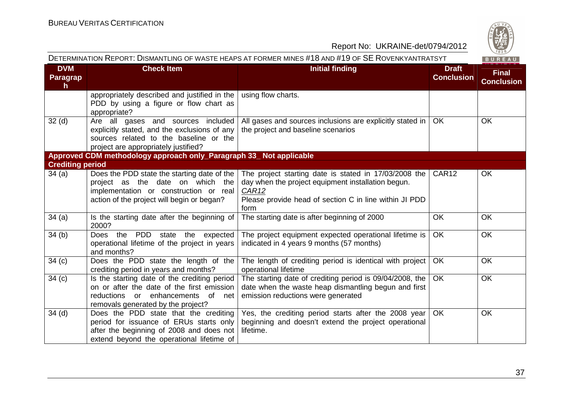

| <b>DVM</b>              | <b>Check Item</b>                                                                                                                                                         | <b>Initial finding</b>                                                                                                                                                                 | <b>Draft</b>      | <b>Final</b>      |
|-------------------------|---------------------------------------------------------------------------------------------------------------------------------------------------------------------------|----------------------------------------------------------------------------------------------------------------------------------------------------------------------------------------|-------------------|-------------------|
| <b>Paragrap</b><br>h.   |                                                                                                                                                                           |                                                                                                                                                                                        | <b>Conclusion</b> | <b>Conclusion</b> |
|                         | appropriately described and justified in the<br>PDD by using a figure or flow chart as<br>appropriate?                                                                    | using flow charts.                                                                                                                                                                     |                   |                   |
| 32 <sub>(d)</sub>       | Are all gases and sources included<br>explicitly stated, and the exclusions of any<br>sources related to the baseline or the<br>project are appropriately justified?      | All gases and sources inclusions are explicitly stated in<br>the project and baseline scenarios                                                                                        | <b>OK</b>         | <b>OK</b>         |
|                         | Approved CDM methodology approach only_Paragraph 33_ Not applicable                                                                                                       |                                                                                                                                                                                        |                   |                   |
| <b>Crediting period</b> |                                                                                                                                                                           |                                                                                                                                                                                        |                   |                   |
| 34(a)                   | Does the PDD state the starting date of the<br>project as the date on which the<br>implementation or construction or real<br>action of the project will begin or began?   | The project starting date is stated in 17/03/2008 the<br>day when the project equipment installation begun.<br>CAR12<br>Please provide head of section C in line within JI PDD<br>form | CAR <sub>12</sub> | OK                |
| 34(a)                   | Is the starting date after the beginning of<br>2000?                                                                                                                      | The starting date is after beginning of 2000                                                                                                                                           | <b>OK</b>         | OK                |
| 34(b)                   | Does the PDD state the expected<br>operational lifetime of the project in years<br>and months?                                                                            | The project equipment expected operational lifetime is<br>indicated in 4 years 9 months (57 months)                                                                                    | OK                | <b>OK</b>         |
| 34 <sub>(c)</sub>       | Does the PDD state the length of the<br>crediting period in years and months?                                                                                             | The length of crediting period is identical with project<br>operational lifetime                                                                                                       | <b>OK</b>         | OK                |
| 34 <sub>(c)</sub>       | Is the starting date of the crediting period<br>on or after the date of the first emission<br>reductions or enhancements of net<br>removals generated by the project?     | The starting date of crediting period is 09/04/2008, the<br>date when the waste heap dismantling begun and first<br>emission reductions were generated                                 | <b>OK</b>         | OK                |
| $34$ (d)                | Does the PDD state that the crediting<br>period for issuance of ERUs starts only<br>after the beginning of 2008 and does not<br>extend beyond the operational lifetime of | Yes, the crediting period starts after the 2008 year<br>beginning and doesn't extend the project operational<br>lifetime.                                                              | OK                | OK                |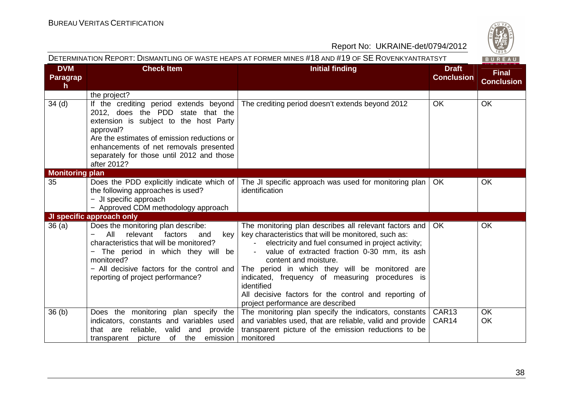

| DETERMINATION REPORT: DISMANTLING OF WASTE HEAPS AT FORMER MINES #18 AND #19 OF SE ROVENKYANTRATSYT<br>BUREAU |                                                                                                                                                                                                                                                                                         |                                                                                                                                                                                                                                                                                                                                                                                                                                                                |                                   |                                   |
|---------------------------------------------------------------------------------------------------------------|-----------------------------------------------------------------------------------------------------------------------------------------------------------------------------------------------------------------------------------------------------------------------------------------|----------------------------------------------------------------------------------------------------------------------------------------------------------------------------------------------------------------------------------------------------------------------------------------------------------------------------------------------------------------------------------------------------------------------------------------------------------------|-----------------------------------|-----------------------------------|
| <b>DVM</b><br>Paragrap<br>$\mathsf{h}$                                                                        | <b>Check Item</b>                                                                                                                                                                                                                                                                       | <b>Initial finding</b>                                                                                                                                                                                                                                                                                                                                                                                                                                         | <b>Draft</b><br><b>Conclusion</b> | <b>Final</b><br><b>Conclusion</b> |
|                                                                                                               | the project?                                                                                                                                                                                                                                                                            |                                                                                                                                                                                                                                                                                                                                                                                                                                                                |                                   |                                   |
| 34 <sub>(d)</sub>                                                                                             | If the crediting period extends beyond<br>2012, does the PDD state that the<br>extension is subject to the host Party<br>approval?<br>Are the estimates of emission reductions or<br>enhancements of net removals presented<br>separately for those until 2012 and those<br>after 2012? | The crediting period doesn't extends beyond 2012                                                                                                                                                                                                                                                                                                                                                                                                               | OK                                | <b>OK</b>                         |
| <b>Monitoring plan</b>                                                                                        |                                                                                                                                                                                                                                                                                         |                                                                                                                                                                                                                                                                                                                                                                                                                                                                |                                   |                                   |
| 35                                                                                                            | Does the PDD explicitly indicate which of<br>the following approaches is used?<br>- JI specific approach<br>- Approved CDM methodology approach                                                                                                                                         | The JI specific approach was used for monitoring plan  <br>identification                                                                                                                                                                                                                                                                                                                                                                                      | OK.                               | <b>OK</b>                         |
|                                                                                                               | JI specific approach only                                                                                                                                                                                                                                                               |                                                                                                                                                                                                                                                                                                                                                                                                                                                                |                                   |                                   |
| 36(a)                                                                                                         | Does the monitoring plan describe:<br>All<br>relevant<br>factors<br>key<br>and<br>characteristics that will be monitored?<br>The period in which they will be<br>-<br>monitored?<br>- All decisive factors for the control and<br>reporting of project performance?                     | The monitoring plan describes all relevant factors and<br>key characteristics that will be monitored, such as:<br>electricity and fuel consumed in project activity;<br>value of extracted fraction 0-30 mm, its ash<br>content and moisture.<br>The period in which they will be monitored are<br>indicated, frequency of measuring procedures is<br>identified<br>All decisive factors for the control and reporting of<br>project performance are described | <b>OK</b>                         | OK                                |
| 36(b)                                                                                                         | Does the monitoring plan specify the<br>indicators, constants and variables used<br>reliable,<br>valid<br>and<br>that are<br>provide<br>transparent picture of<br>emission<br>the                                                                                                       | The monitoring plan specify the indicators, constants<br>and variables used, that are reliable, valid and provide<br>transparent picture of the emission reductions to be<br>monitored                                                                                                                                                                                                                                                                         | CAR <sub>13</sub><br>CAR14        | <b>OK</b><br>OK                   |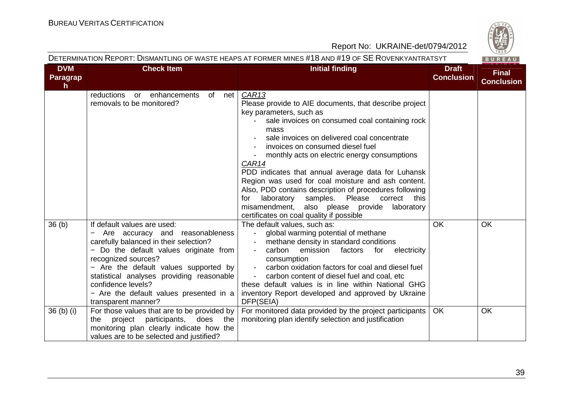**BUREAU** 

#### Report No: UKRAINE-det/0794/2012

| <b>DVM</b>            | <b>Check Item</b>                                                                                                                                                                                                                                                                                                                                       | <b>Initial finding</b>                                                                                                                                                                                                                                                                                                                                                                                                                                                                                                                                                                                                        | <b>Draft</b>      | <b>Final</b>      |
|-----------------------|---------------------------------------------------------------------------------------------------------------------------------------------------------------------------------------------------------------------------------------------------------------------------------------------------------------------------------------------------------|-------------------------------------------------------------------------------------------------------------------------------------------------------------------------------------------------------------------------------------------------------------------------------------------------------------------------------------------------------------------------------------------------------------------------------------------------------------------------------------------------------------------------------------------------------------------------------------------------------------------------------|-------------------|-------------------|
| <b>Paragrap</b><br>h. |                                                                                                                                                                                                                                                                                                                                                         |                                                                                                                                                                                                                                                                                                                                                                                                                                                                                                                                                                                                                               | <b>Conclusion</b> | <b>Conclusion</b> |
|                       | reductions<br>or enhancements<br>of net<br>removals to be monitored?                                                                                                                                                                                                                                                                                    | CAR13<br>Please provide to AIE documents, that describe project<br>key parameters, such as<br>sale invoices on consumed coal containing rock<br>mass<br>sale invoices on delivered coal concentrate<br>invoices on consumed diesel fuel<br>monthly acts on electric energy consumptions<br>CAR14<br>PDD indicates that annual average data for Luhansk<br>Region was used for coal moisture and ash content.<br>Also, PDD contains description of procedures following<br>laboratory<br>samples. Please correct<br>this<br>for<br>misamendment, also please provide<br>laboratory<br>certificates on coal quality if possible |                   |                   |
| 36 <sub>(b)</sub>     | If default values are used:<br>Are accuracy and reasonableness<br>carefully balanced in their selection?<br>- Do the default values originate from<br>recognized sources?<br>- Are the default values supported by<br>statistical analyses providing reasonable<br>confidence levels?<br>- Are the default values presented in a<br>transparent manner? | The default values, such as:<br>global warming potential of methane<br>$\sim$ 10 $\pm$<br>methane density in standard conditions<br>carbon<br>emission<br>electricity<br>factors<br>for<br>consumption<br>carbon oxidation factors for coal and diesel fuel<br>carbon content of diesel fuel and coal, etc<br>these default values is in line within National GHG<br>inventory Report developed and approved by Ukraine<br>DFP(SEIA)                                                                                                                                                                                          | <b>OK</b>         | OK                |
| 36 (b) (i)            | For those values that are to be provided by<br>does the<br>project participants,<br>the<br>monitoring plan clearly indicate how the<br>values are to be selected and justified?                                                                                                                                                                         | For monitored data provided by the project participants<br>monitoring plan identify selection and justification                                                                                                                                                                                                                                                                                                                                                                                                                                                                                                               | <b>OK</b>         | <b>OK</b>         |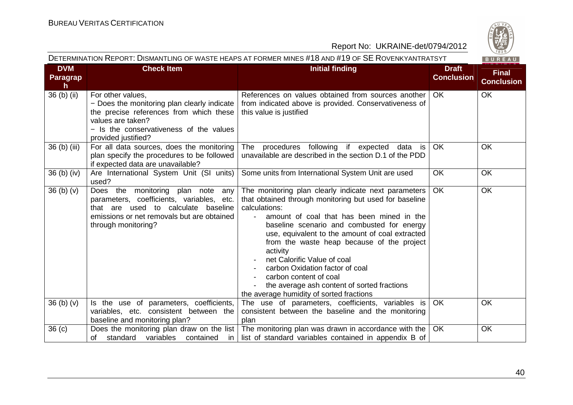

|                                     |                                                                                                                                                                                                    | Report No: UKRAINE-det/0794/2012                                                                                                                                                                                                                                                                                                                                                                                                                                                                                                                 |                                   | $\frac{42}{1828}$                 |
|-------------------------------------|----------------------------------------------------------------------------------------------------------------------------------------------------------------------------------------------------|--------------------------------------------------------------------------------------------------------------------------------------------------------------------------------------------------------------------------------------------------------------------------------------------------------------------------------------------------------------------------------------------------------------------------------------------------------------------------------------------------------------------------------------------------|-----------------------------------|-----------------------------------|
|                                     |                                                                                                                                                                                                    | DETERMINATION REPORT: DISMANTLING OF WASTE HEAPS AT FORMER MINES #18 AND #19 OF SE ROVENKYANTRATSYT                                                                                                                                                                                                                                                                                                                                                                                                                                              |                                   | BUREAU                            |
| <b>DVM</b><br><b>Paragrap</b><br>h. | <b>Check Item</b>                                                                                                                                                                                  | <b>Initial finding</b>                                                                                                                                                                                                                                                                                                                                                                                                                                                                                                                           | <b>Draft</b><br><b>Conclusion</b> | <b>Final</b><br><b>Conclusion</b> |
| 36 (b) (ii)                         | For other values,<br>- Does the monitoring plan clearly indicate<br>the precise references from which these<br>values are taken?<br>- Is the conservativeness of the values<br>provided justified? | References on values obtained from sources another<br>from indicated above is provided. Conservativeness of<br>this value is justified                                                                                                                                                                                                                                                                                                                                                                                                           | <b>OK</b>                         | <b>OK</b>                         |
| 36 (b) (iii)                        | For all data sources, does the monitoring<br>plan specify the procedures to be followed<br>if expected data are unavailable?                                                                       | procedures following if expected data<br>The<br>is<br>unavailable are described in the section D.1 of the PDD                                                                                                                                                                                                                                                                                                                                                                                                                                    | OK                                | OK                                |
| $36$ (b) (iv)                       | Are International System Unit (SI units)<br>used?                                                                                                                                                  | Some units from International System Unit are used                                                                                                                                                                                                                                                                                                                                                                                                                                                                                               | OK                                | OK                                |
| 36(b)(v)                            | Does the monitoring plan note<br>any<br>parameters, coefficients, variables, etc.<br>that are used to calculate baseline<br>emissions or net removals but are obtained<br>through monitoring?      | The monitoring plan clearly indicate next parameters<br>that obtained through monitoring but used for baseline<br>calculations:<br>amount of coal that has been mined in the<br>$\blacksquare$<br>baseline scenario and combusted for energy<br>use, equivalent to the amount of coal extracted<br>from the waste heap because of the project<br>activity<br>net Calorific Value of coal<br>carbon Oxidation factor of coal<br>carbon content of coal<br>the average ash content of sorted fractions<br>the average humidity of sorted fractions | <b>OK</b>                         | OK                                |
| 36(b)(v)                            | Is the use of parameters, coefficients,<br>variables, etc. consistent between the<br>baseline and monitoring plan?                                                                                 | The use of parameters, coefficients, variables is<br>consistent between the baseline and the monitoring<br>plan                                                                                                                                                                                                                                                                                                                                                                                                                                  | <b>OK</b>                         | OK                                |
| 36 <sub>(c)</sub>                   | Does the monitoring plan draw on the list<br>standard variables<br>of<br>contained<br>in                                                                                                           | The monitoring plan was drawn in accordance with the<br>list of standard variables contained in appendix B of                                                                                                                                                                                                                                                                                                                                                                                                                                    | <b>OK</b>                         | <b>OK</b>                         |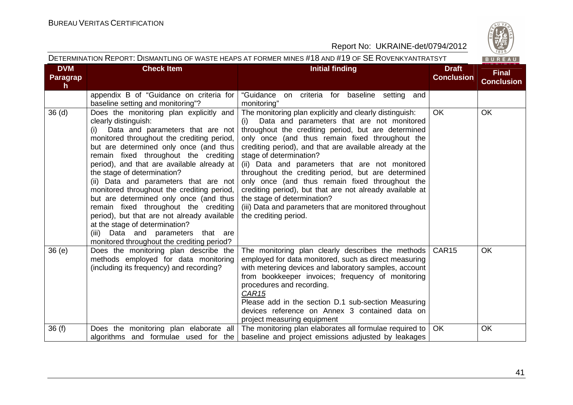

| <b>DVM</b>        | <b>Check Item</b>                                                                                                                                                                                                                                                                                                                                                                                                                                                                                                                                                                                                                                                       | <b>Initial finding</b>                                                                                                                                                                                                                                                                                                                                                                                                                                                                                                                                                                                                                                    | <b>Draft</b>      | - - - - - -                       |
|-------------------|-------------------------------------------------------------------------------------------------------------------------------------------------------------------------------------------------------------------------------------------------------------------------------------------------------------------------------------------------------------------------------------------------------------------------------------------------------------------------------------------------------------------------------------------------------------------------------------------------------------------------------------------------------------------------|-----------------------------------------------------------------------------------------------------------------------------------------------------------------------------------------------------------------------------------------------------------------------------------------------------------------------------------------------------------------------------------------------------------------------------------------------------------------------------------------------------------------------------------------------------------------------------------------------------------------------------------------------------------|-------------------|-----------------------------------|
| Paragrap<br>h.    |                                                                                                                                                                                                                                                                                                                                                                                                                                                                                                                                                                                                                                                                         |                                                                                                                                                                                                                                                                                                                                                                                                                                                                                                                                                                                                                                                           | <b>Conclusion</b> | <b>Final</b><br><b>Conclusion</b> |
|                   | appendix B of "Guidance on criteria for<br>baseline setting and monitoring"?                                                                                                                                                                                                                                                                                                                                                                                                                                                                                                                                                                                            | "Guidance on criteria for baseline setting and<br>monitoring"                                                                                                                                                                                                                                                                                                                                                                                                                                                                                                                                                                                             |                   |                                   |
| 36 <sub>(d)</sub> | Does the monitoring plan explicitly and<br>clearly distinguish:<br>Data and parameters that are not<br>(i)<br>monitored throughout the crediting period,<br>but are determined only once (and thus<br>remain fixed throughout the crediting<br>period), and that are available already at<br>the stage of determination?<br>(ii) Data and parameters that are not<br>monitored throughout the crediting period,<br>but are determined only once (and thus<br>remain fixed throughout the crediting<br>period), but that are not already available<br>at the stage of determination?<br>(iii) Data and parameters that are<br>monitored throughout the crediting period? | The monitoring plan explicitly and clearly distinguish:<br>Data and parameters that are not monitored<br>(i)<br>throughout the crediting period, but are determined<br>only once (and thus remain fixed throughout the<br>crediting period), and that are available already at the<br>stage of determination?<br>(ii) Data and parameters that are not monitored<br>throughout the crediting period, but are determined<br>only once (and thus remain fixed throughout the<br>crediting period), but that are not already available at<br>the stage of determination?<br>(iii) Data and parameters that are monitored throughout<br>the crediting period. | OK                | OK                                |
| 36(e)             | Does the monitoring plan describe the<br>methods employed for data monitoring<br>(including its frequency) and recording?                                                                                                                                                                                                                                                                                                                                                                                                                                                                                                                                               | The monitoring plan clearly describes the methods<br>employed for data monitored, such as direct measuring<br>with metering devices and laboratory samples, account<br>from bookkeeper invoices; frequency of monitoring<br>procedures and recording.<br><b>CAR15</b><br>Please add in the section D.1 sub-section Measuring<br>devices reference on Annex 3 contained data on<br>project measuring equipment                                                                                                                                                                                                                                             | CAR <sub>15</sub> | <b>OK</b>                         |
| 36(f)             | Does the monitoring plan elaborate all<br>algorithms and formulae used for the                                                                                                                                                                                                                                                                                                                                                                                                                                                                                                                                                                                          | The monitoring plan elaborates all formulae required to<br>baseline and project emissions adjusted by leakages                                                                                                                                                                                                                                                                                                                                                                                                                                                                                                                                            | <b>OK</b>         | OK                                |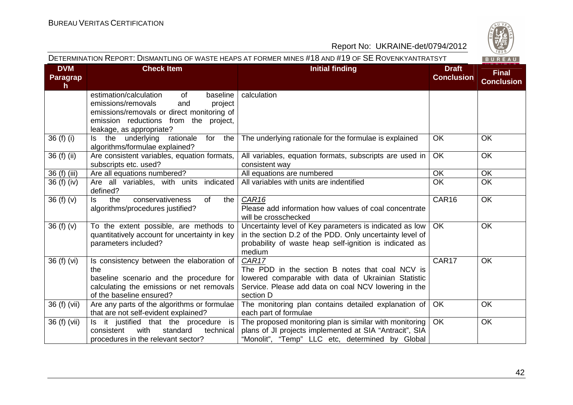

| <b>DVM</b><br>Paragrap | <b>Check Item</b>                                                              | <b>Initial finding</b>                                          | <b>Draft</b><br><b>Conclusion</b> | <b>Final</b><br><b>Conclusion</b> |
|------------------------|--------------------------------------------------------------------------------|-----------------------------------------------------------------|-----------------------------------|-----------------------------------|
| h.                     |                                                                                |                                                                 |                                   |                                   |
|                        | estimation/calculation<br><b>of</b><br>baseline                                | calculation                                                     |                                   |                                   |
|                        | emissions/removals<br>project<br>and                                           |                                                                 |                                   |                                   |
|                        | emissions/removals or direct monitoring of                                     |                                                                 |                                   |                                   |
|                        | emission reductions from the project,                                          |                                                                 |                                   |                                   |
|                        | leakage, as appropriate?                                                       |                                                                 |                                   |                                   |
| 36 (f) (i)             | Is the underlying<br>for<br>the<br>rationale<br>algorithms/formulae explained? | The underlying rationale for the formulae is explained          | <b>OK</b>                         | <b>OK</b>                         |
| 36 (f) (ii)            | Are consistent variables, equation formats,                                    | All variables, equation formats, subscripts are used in         | <b>OK</b>                         | <b>OK</b>                         |
|                        | subscripts etc. used?                                                          | consistent way                                                  |                                   |                                   |
| 36 (f) (iii)           | Are all equations numbered?                                                    | All equations are numbered                                      | OK                                | OK                                |
| 36 (f) (iv)            | Are all variables, with units indicated                                        | All variables with units are indentified                        | <b>OK</b>                         | OK                                |
|                        | defined?                                                                       |                                                                 |                                   |                                   |
| 36(f)(v)               | of<br>ls.<br>the<br>conservativeness<br>the                                    | CAR <sub>16</sub>                                               | CAR16                             | OK                                |
|                        | algorithms/procedures justified?                                               | Please add information how values of coal concentrate           |                                   |                                   |
|                        |                                                                                | will be crosschecked                                            |                                   |                                   |
| 36(f)(v)               | To the extent possible, are methods to                                         | Uncertainty level of Key parameters is indicated as low         | OK                                | OK                                |
|                        | quantitatively account for uncertainty in key                                  | in the section D.2 of the PDD. Only uncertainty level of        |                                   |                                   |
|                        | parameters included?                                                           | probability of waste heap self-ignition is indicated as         |                                   |                                   |
|                        |                                                                                | medium<br>CAR17                                                 | CAR17                             | OK                                |
| 36 (f) (vi)            | Is consistency between the elaboration of<br>the                               | The PDD in the section B notes that coal NCV is                 |                                   |                                   |
|                        | baseline scenario and the procedure for                                        | lowered comparable with data of Ukrainian Statistic             |                                   |                                   |
|                        | calculating the emissions or net removals                                      | Service. Please add data on coal NCV lowering in the            |                                   |                                   |
|                        | of the baseline ensured?                                                       | section D                                                       |                                   |                                   |
| 36 (f) (vii)           | Are any parts of the algorithms or formulae                                    | The monitoring plan contains detailed explanation of $\vert$ OK |                                   | <b>OK</b>                         |
|                        | that are not self-evident explained?                                           | each part of formulae                                           |                                   |                                   |
| 36 (f) (vii)           | Is it justified that the procedure is                                          | The proposed monitoring plan is similar with monitoring         | <b>OK</b>                         | OK                                |
|                        | with<br>consistent<br>standard<br>technical                                    | plans of JI projects implemented at SIA "Antracit", SIA         |                                   |                                   |
|                        | procedures in the relevant sector?                                             | "Monolit", "Temp" LLC etc, determined by Global                 |                                   |                                   |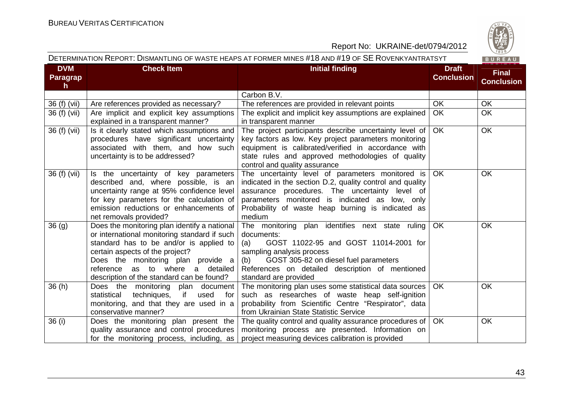

| <b>DVM</b>                      | <b>Check Item</b>                                                                                                                                                                                                                                                                                 | <b>Initial finding</b>                                                                                                                                                                                                                                                           | <b>Draft</b>      | <b>Final</b>      |
|---------------------------------|---------------------------------------------------------------------------------------------------------------------------------------------------------------------------------------------------------------------------------------------------------------------------------------------------|----------------------------------------------------------------------------------------------------------------------------------------------------------------------------------------------------------------------------------------------------------------------------------|-------------------|-------------------|
| <b>Paragrap</b><br>$\mathsf{h}$ |                                                                                                                                                                                                                                                                                                   |                                                                                                                                                                                                                                                                                  | <b>Conclusion</b> | <b>Conclusion</b> |
|                                 |                                                                                                                                                                                                                                                                                                   | Carbon B.V.                                                                                                                                                                                                                                                                      |                   |                   |
| 36 (f) (vii)                    | Are references provided as necessary?                                                                                                                                                                                                                                                             | The references are provided in relevant points                                                                                                                                                                                                                                   | <b>OK</b>         | OK                |
| 36 (f) (vii)                    | Are implicit and explicit key assumptions<br>explained in a transparent manner?                                                                                                                                                                                                                   | The explicit and implicit key assumptions are explained<br>in transparent manner                                                                                                                                                                                                 | <b>OK</b>         | <b>OK</b>         |
| 36 (f) (vii)                    | Is it clearly stated which assumptions and<br>procedures have significant uncertainty<br>associated with them, and how such<br>uncertainty is to be addressed?                                                                                                                                    | The project participants describe uncertainty level of<br>key factors as low. Key project parameters monitoring<br>equipment is calibrated/verified in accordance with<br>state rules and approved methodologies of quality<br>control and quality assurance                     | OK                | <b>OK</b>         |
| 36 (f) (vii)                    | Is the uncertainty of key parameters<br>described and, where possible, is an<br>uncertainty range at 95% confidence level<br>for key parameters for the calculation of<br>emission reductions or enhancements of<br>net removals provided?                                                        | The uncertainty level of parameters monitored is<br>indicated in the section D.2, quality control and quality<br>assurance procedures. The uncertainty level of<br>parameters monitored is indicated as low, only<br>Probability of waste heap burning is indicated as<br>medium | <b>OK</b>         | OK                |
| 36 <sub>(g)</sub>               | Does the monitoring plan identify a national<br>or international monitoring standard if such<br>standard has to be and/or is applied to<br>certain aspects of the project?<br>Does the monitoring plan provide a<br>reference as to where a detailed<br>description of the standard can be found? | The monitoring plan identifies next state ruling<br>documents:<br>GOST 11022-95 and GOST 11014-2001 for<br>(a)<br>sampling analysis process<br>(b) GOST 305-82 on diesel fuel parameters<br>References on detailed description of mentioned<br>standard are provided             | OK                | OK                |
| 36(h)                           | Does the monitoring plan document<br>if<br>statistical<br>techniques,<br>used<br>for<br>monitoring, and that they are used in a<br>conservative manner?                                                                                                                                           | The monitoring plan uses some statistical data sources  <br>such as researches of waste heap self-ignition<br>probability from Scientific Centre "Respirator", data<br>from Ukrainian State Statistic Service                                                                    | OK.               | <b>OK</b>         |
| 36 (i)                          | Does the monitoring plan present the<br>quality assurance and control procedures<br>for the monitoring process, including, as                                                                                                                                                                     | The quality control and quality assurance procedures of  <br>monitoring process are presented. Information on<br>project measuring devices calibration is provided                                                                                                               | OK                | <b>OK</b>         |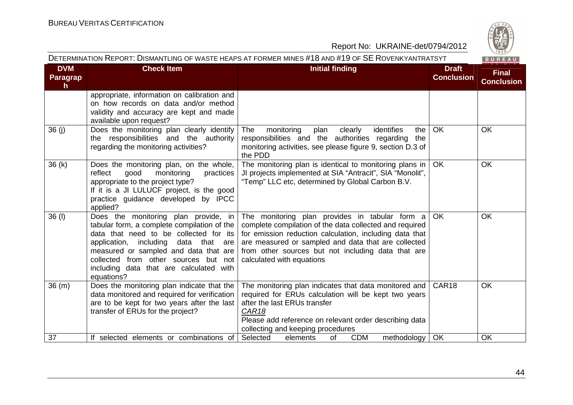

| <b>DVM</b><br>Paragrap<br>h. | <b>Check Item</b>                                                                                                                                                                                                                                                                                                     | <b>Initial finding</b>                                                                                                                                                                                                                                                                                         | <b>Draft</b><br><b>Conclusion</b> | <b>Final</b><br><b>Conclusion</b> |
|------------------------------|-----------------------------------------------------------------------------------------------------------------------------------------------------------------------------------------------------------------------------------------------------------------------------------------------------------------------|----------------------------------------------------------------------------------------------------------------------------------------------------------------------------------------------------------------------------------------------------------------------------------------------------------------|-----------------------------------|-----------------------------------|
|                              | appropriate, information on calibration and<br>on how records on data and/or method<br>validity and accuracy are kept and made<br>available upon request?                                                                                                                                                             |                                                                                                                                                                                                                                                                                                                |                                   |                                   |
| 36 (j)                       | Does the monitoring plan clearly identify<br>the responsibilities and the authority<br>regarding the monitoring activities?                                                                                                                                                                                           | monitoring<br>identifies<br>The<br>clearly<br>plan<br>the<br>responsibilities and the authorities regarding<br>the<br>monitoring activities, see please figure 9, section D.3 of<br>the PDD                                                                                                                    | <b>OK</b>                         | <b>OK</b>                         |
| 36(k)                        | Does the monitoring plan, on the whole,<br>good<br>monitoring<br>reflect<br>practices<br>appropriate to the project type?<br>If it is a JI LULUCF project, is the good<br>practice guidance developed by IPCC<br>applied?                                                                                             | The monitoring plan is identical to monitoring plans in<br>JI projects implemented at SIA "Antracit", SIA "Monolit",<br>"Temp" LLC etc, determined by Global Carbon B.V.                                                                                                                                       | <b>OK</b>                         | <b>OK</b>                         |
| $36$ (l)                     | Does the monitoring plan provide, in<br>tabular form, a complete compilation of the<br>data that need to be collected for its<br>including<br>data that are<br>application,<br>measured or sampled and data that are<br>collected from other sources but not<br>including data that are calculated with<br>equations? | The monitoring plan provides in tabular form a<br>complete compilation of the data collected and required<br>for emission reduction calculation, including data that<br>are measured or sampled and data that are collected<br>from other sources but not including data that are<br>calculated with equations | <b>OK</b>                         | <b>OK</b>                         |
| 36(m)                        | Does the monitoring plan indicate that the<br>data monitored and required for verification<br>are to be kept for two years after the last<br>transfer of ERUs for the project?                                                                                                                                        | The monitoring plan indicates that data monitored and<br>required for ERUs calculation will be kept two years<br>after the last ERUs transfer<br>CAR <sub>18</sub><br>Please add reference on relevant order describing data<br>collecting and keeping procedures                                              | CAR18                             | OK                                |
| 37                           | If selected elements or combinations of                                                                                                                                                                                                                                                                               | Selected<br><b>of</b><br><b>CDM</b><br>methodology<br>elements                                                                                                                                                                                                                                                 | OK                                | OK                                |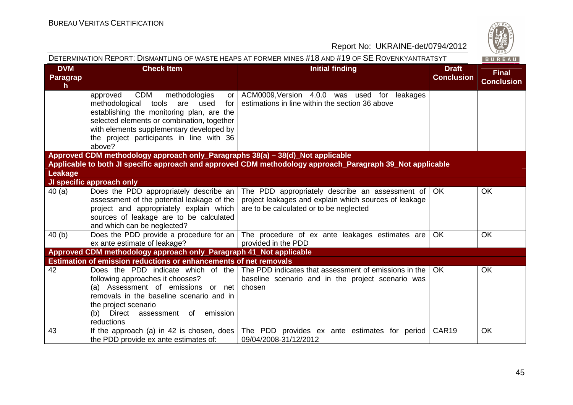| DETERMINATION REPORT: DISMANTLING OF WASTE HEAPS AT FORMER MINES #18 AND #19 OF SE ROVENKYANTRATSYT<br>BUREAU |                                                                                                                                                                                                                                                                                               |                                                                                                                                                     |                                   |                                   |  |  |  |
|---------------------------------------------------------------------------------------------------------------|-----------------------------------------------------------------------------------------------------------------------------------------------------------------------------------------------------------------------------------------------------------------------------------------------|-----------------------------------------------------------------------------------------------------------------------------------------------------|-----------------------------------|-----------------------------------|--|--|--|
| <b>DVM</b><br>Paragrap<br>$\mathsf{h}$                                                                        | <b>Check Item</b>                                                                                                                                                                                                                                                                             | <b>Initial finding</b>                                                                                                                              | <b>Draft</b><br><b>Conclusion</b> | <b>Final</b><br><b>Conclusion</b> |  |  |  |
|                                                                                                               | <b>CDM</b><br>methodologies<br>approved<br>or I<br>methodological<br>tools<br>are<br>used<br>for<br>establishing the monitoring plan, are the<br>selected elements or combination, together<br>with elements supplementary developed by<br>the project participants in line with 36<br>above? | ACM0009, Version 4.0.0 was used for leakages<br>estimations in line within the section 36 above                                                     |                                   |                                   |  |  |  |
|                                                                                                               | Approved CDM methodology approach only_Paragraphs 38(a) - 38(d)_Not applicable                                                                                                                                                                                                                |                                                                                                                                                     |                                   |                                   |  |  |  |
|                                                                                                               |                                                                                                                                                                                                                                                                                               | Applicable to both JI specific approach and approved CDM methodology approach_Paragraph 39_Not applicable                                           |                                   |                                   |  |  |  |
| Leakage                                                                                                       | JI specific approach only                                                                                                                                                                                                                                                                     |                                                                                                                                                     |                                   |                                   |  |  |  |
| 40(a)                                                                                                         | Does the PDD appropriately describe an<br>assessment of the potential leakage of the<br>project and appropriately explain which<br>sources of leakage are to be calculated<br>and which can be neglected?                                                                                     | The PDD appropriately describe an assessment of<br>project leakages and explain which sources of leakage<br>are to be calculated or to be neglected | <b>OK</b>                         | <b>OK</b>                         |  |  |  |
| 40(b)                                                                                                         | ex ante estimate of leakage?                                                                                                                                                                                                                                                                  | Does the PDD provide a procedure for an   The procedure of ex ante leakages estimates are<br>provided in the PDD                                    | <b>OK</b>                         | <b>OK</b>                         |  |  |  |
|                                                                                                               | Approved CDM methodology approach only_Paragraph 41_Not applicable                                                                                                                                                                                                                            |                                                                                                                                                     |                                   |                                   |  |  |  |
|                                                                                                               | <b>Estimation of emission reductions or enhancements of net removals</b>                                                                                                                                                                                                                      |                                                                                                                                                     |                                   |                                   |  |  |  |
| 42                                                                                                            | Does the PDD indicate which of the<br>following approaches it chooses?<br>(a) Assessment of emissions or net<br>removals in the baseline scenario and in<br>the project scenario<br>emission<br>(b) Direct assessment of<br>reductions                                                        | The PDD indicates that assessment of emissions in the<br>baseline scenario and in the project scenario was<br>chosen                                | OK.                               | OK                                |  |  |  |
| 43                                                                                                            | If the approach (a) in 42 is chosen, does<br>the PDD provide ex ante estimates of:                                                                                                                                                                                                            | The PDD provides ex ante estimates for period<br>09/04/2008-31/12/2012                                                                              | CAR19                             | <b>OK</b>                         |  |  |  |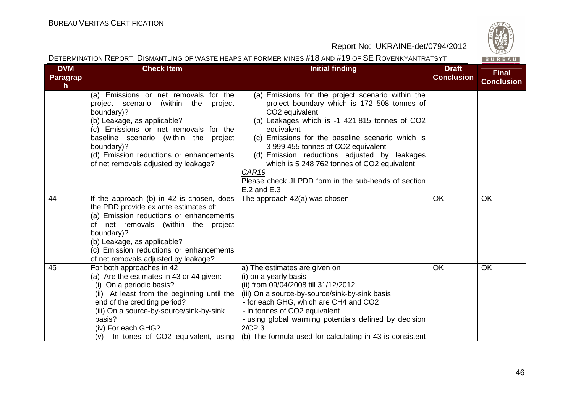

| <b>DVM</b>      | <b>Check Item</b>                                                                      | <b>Initial finding</b>                                                                           | <b>Draft</b>      | <b>Final</b>      |
|-----------------|----------------------------------------------------------------------------------------|--------------------------------------------------------------------------------------------------|-------------------|-------------------|
| <b>Paragrap</b> |                                                                                        |                                                                                                  | <b>Conclusion</b> | <b>Conclusion</b> |
| h.              |                                                                                        |                                                                                                  |                   |                   |
|                 | (a) Emissions or net removals for the<br>project scenario<br>(within<br>the<br>project | (a) Emissions for the project scenario within the<br>project boundary which is 172 508 tonnes of |                   |                   |
|                 | boundary)?                                                                             | CO2 equivalent                                                                                   |                   |                   |
|                 | (b) Leakage, as applicable?                                                            | (b) Leakages which is -1 421 815 tonnes of CO2                                                   |                   |                   |
|                 | (c) Emissions or net removals for the                                                  | equivalent                                                                                       |                   |                   |
|                 | baseline scenario (within the project                                                  | (c) Emissions for the baseline scenario which is                                                 |                   |                   |
|                 | boundary)?                                                                             | 3 999 455 tonnes of CO2 equivalent                                                               |                   |                   |
|                 | (d) Emission reductions or enhancements                                                | (d) Emission reductions adjusted by leakages                                                     |                   |                   |
|                 | of net removals adjusted by leakage?                                                   | which is 5 248 762 tonnes of CO2 equivalent<br><b>CAR19</b>                                      |                   |                   |
|                 |                                                                                        | Please check JI PDD form in the sub-heads of section                                             |                   |                   |
|                 |                                                                                        | $E.2$ and $E.3$                                                                                  |                   |                   |
| 44              | If the approach (b) in 42 is chosen, does                                              | The approach 42(a) was chosen                                                                    | OK                | <b>OK</b>         |
|                 | the PDD provide ex ante estimates of:                                                  |                                                                                                  |                   |                   |
|                 | (a) Emission reductions or enhancements                                                |                                                                                                  |                   |                   |
|                 | of net removals (within the project                                                    |                                                                                                  |                   |                   |
|                 | boundary)?                                                                             |                                                                                                  |                   |                   |
|                 | (b) Leakage, as applicable?                                                            |                                                                                                  |                   |                   |
|                 | (c) Emission reductions or enhancements<br>of net removals adjusted by leakage?        |                                                                                                  |                   |                   |
| 45              | For both approaches in 42                                                              | a) The estimates are given on                                                                    | OK                | OK                |
|                 | (a) Are the estimates in 43 or 44 given:                                               | (i) on a yearly basis                                                                            |                   |                   |
|                 | (i) On a periodic basis?                                                               | (ii) from 09/04/2008 till 31/12/2012                                                             |                   |                   |
|                 | (ii) At least from the beginning until the                                             | (iii) On a source-by-source/sink-by-sink basis                                                   |                   |                   |
|                 | end of the crediting period?                                                           | - for each GHG, which are CH4 and CO2                                                            |                   |                   |
|                 | (iii) On a source-by-source/sink-by-sink                                               | - in tonnes of CO2 equivalent                                                                    |                   |                   |
|                 | basis?                                                                                 | - using global warming potentials defined by decision                                            |                   |                   |
|                 | (iv) For each GHG?                                                                     | 2/CP.3                                                                                           |                   |                   |
|                 | In tones of CO2 equivalent, using<br>(v)                                               | (b) The formula used for calculating in 43 is consistent                                         |                   |                   |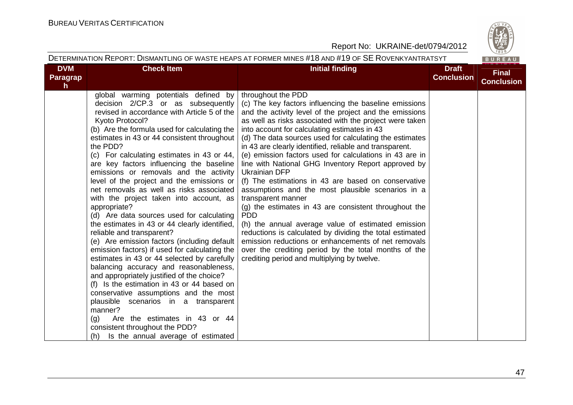

#### DETERMINATION REPORT: DISMANTLING OF WASTE HEAPS AT FORMER MINES #18 AND #19 OF SE <sup>R</sup>OVENKYANTRATSYT BUREAU **DVM Check Item Draft Check Item Initial finding Check Item Draft Final ConclusionParagrapConclusionh** throughout the PDD global warming potentials defined by decision 2/CP.3 or as subsequently (c) The key factors influencing the baseline emissions revised in accordance with Article 5 of the and the activity level of the project and the emissions Kyoto Protocol? as well as risks associated with the project were taken (b) Are the formula used for calculating theinto account for calculating estimates in 43 (d) The data sources used for calculating the estimates estimates in 43 or 44 consistent throughout the PDD? in 43 are clearly identified, reliable and transparent. (c) For calculating estimates in 43 or 44, (e) emission factors used for calculations in 43 are in are key factors influencing the baseline line with National GHG Inventory Report approved by emissions or removals and the activity Ukrainian DFP level of the project and the emissions or (f) The estimations in 43 are based on conservative net removals as well as risks associated assumptions and the most plausible scenarios in a with the project taken into account, as transparent manner (g) the estimates in 43 are consistent throughout the appropriate? (d) Are data sources used for calculating PDD the estimates in 43 or 44 clearly identified, (h) the annual average value of estimated emission reliable and transparent? reductions is calculated by dividing the total estimated (e) Are emission factors (including default emission reductions or enhancements of net removals emission factors) if used for calculating the over the crediting period by the total months of the estimates in 43 or 44 selected by carefully crediting period and multiplying by twelve. balancing accuracy and reasonableness, and appropriately justified of the choice? (f) Is the estimation in 43 or 44 based on conservative assumptions and the most plausible scenarios in a transparent manner? (g) Are the estimates in 43 or 44 consistent throughout the PDD? (h) Is the annual average of estimated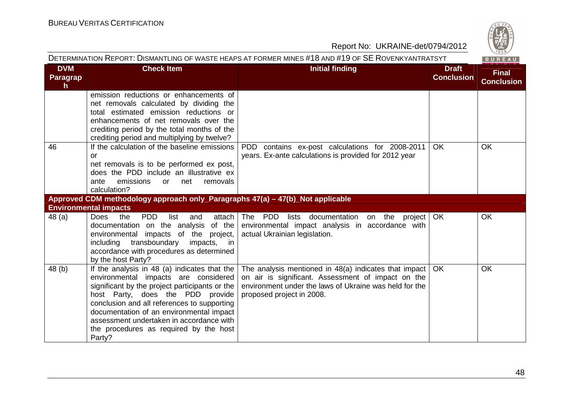

|                                               |                                                                                                                                                                                                                                                                                                                                                                       | DETERMINATION REPORT: DISMANTLING OF WASTE HEAPS AT FORMER MINES #18 AND #19 OF SE ROVENKYANTRATSYT                                                                                                       |                                   | BUREAU                            |
|-----------------------------------------------|-----------------------------------------------------------------------------------------------------------------------------------------------------------------------------------------------------------------------------------------------------------------------------------------------------------------------------------------------------------------------|-----------------------------------------------------------------------------------------------------------------------------------------------------------------------------------------------------------|-----------------------------------|-----------------------------------|
| <b>DVM</b><br><b>Paragrap</b><br>$\mathsf{h}$ | <b>Check Item</b>                                                                                                                                                                                                                                                                                                                                                     | <b>Initial finding</b>                                                                                                                                                                                    | <b>Draft</b><br><b>Conclusion</b> | <b>Final</b><br><b>Conclusion</b> |
|                                               | emission reductions or enhancements of<br>net removals calculated by dividing the<br>total estimated emission reductions or<br>enhancements of net removals over the<br>crediting period by the total months of the<br>crediting period and multiplying by twelve?                                                                                                    |                                                                                                                                                                                                           |                                   |                                   |
| 46                                            | If the calculation of the baseline emissions<br>or<br>net removals is to be performed ex post,<br>does the PDD include an illustrative ex<br>emissions<br>removals<br>ante<br>net<br><b>or</b><br>calculation?                                                                                                                                                        | PDD contains ex-post calculations for 2008-2011<br>years. Ex-ante calculations is provided for 2012 year                                                                                                  | OK                                | <b>OK</b>                         |
|                                               | Approved CDM methodology approach only_Paragraphs 47(a) - 47(b)_Not applicable                                                                                                                                                                                                                                                                                        |                                                                                                                                                                                                           |                                   |                                   |
|                                               | <b>Environmental impacts</b>                                                                                                                                                                                                                                                                                                                                          |                                                                                                                                                                                                           |                                   |                                   |
| 48 (a)                                        | <b>PDD</b><br><b>Does</b><br>the<br>list<br>and<br>attach<br>documentation on the analysis of the<br>environmental impacts of the project,<br>transboundary<br>including<br>impacts, in<br>accordance with procedures as determined<br>by the host Party?                                                                                                             | The PDD lists documentation<br>on the<br>project   OK<br>environmental impact analysis in accordance with<br>actual Ukrainian legislation.                                                                |                                   | <b>OK</b>                         |
| 48 (b)                                        | If the analysis in 48 (a) indicates that the<br>environmental impacts are considered<br>significant by the project participants or the<br>host Party, does the PDD provide<br>conclusion and all references to supporting<br>documentation of an environmental impact<br>assessment undertaken in accordance with<br>the procedures as required by the host<br>Party? | The analysis mentioned in $48(a)$ indicates that impact   OK<br>on air is significant. Assessment of impact on the<br>environment under the laws of Ukraine was held for the<br>proposed project in 2008. |                                   | <b>OK</b>                         |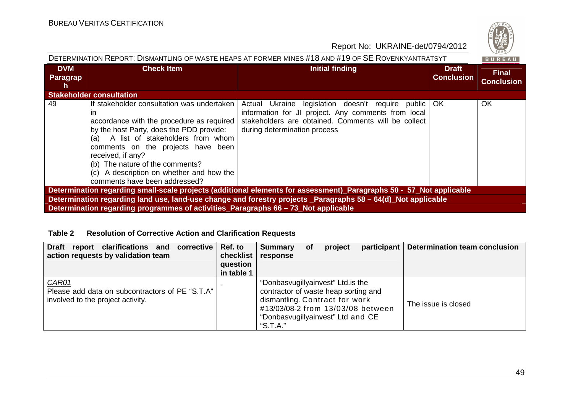

| DETERMINATION REPORT: DISMANTLING OF WASTE HEAPS AT FORMER MINES #18 AND #19 OF SE ROVENKYANTRATSYT<br><b>BUREAU</b> |                                                                                                                                                                                                                                                                                                                                                              |                                                                                                                                                                                                 |                                   |                                   |  |  |  |
|----------------------------------------------------------------------------------------------------------------------|--------------------------------------------------------------------------------------------------------------------------------------------------------------------------------------------------------------------------------------------------------------------------------------------------------------------------------------------------------------|-------------------------------------------------------------------------------------------------------------------------------------------------------------------------------------------------|-----------------------------------|-----------------------------------|--|--|--|
| <b>DVM</b><br>Paragrap<br>h.                                                                                         | <b>Check Item</b>                                                                                                                                                                                                                                                                                                                                            | <b>Initial finding</b>                                                                                                                                                                          | <b>Draft</b><br><b>Conclusion</b> | <b>Final</b><br><b>Conclusion</b> |  |  |  |
|                                                                                                                      | <b>Stakeholder consultation</b>                                                                                                                                                                                                                                                                                                                              |                                                                                                                                                                                                 |                                   |                                   |  |  |  |
| 49                                                                                                                   | If stakeholder consultation was undertaken<br>ın<br>accordance with the procedure as required<br>by the host Party, does the PDD provide:<br>(a) A list of stakeholders from whom<br>comments on the projects have been<br>received, if any?<br>(b) The nature of the comments?<br>(c) A description on whether and how the<br>comments have been addressed? | Actual Ukraine legislation doesn't require public<br>information for JI project. Any comments from local<br>stakeholders are obtained. Comments will be collect<br>during determination process | OK.                               | <b>OK</b>                         |  |  |  |
|                                                                                                                      |                                                                                                                                                                                                                                                                                                                                                              | Determination regarding small-scale projects (additional elements for assessment)_Paragraphs 50 - 57_Not applicable                                                                             |                                   |                                   |  |  |  |
|                                                                                                                      |                                                                                                                                                                                                                                                                                                                                                              | Determination regarding land use, land-use change and forestry projects _Paragraphs 58 – 64(d) Not applicable                                                                                   |                                   |                                   |  |  |  |
|                                                                                                                      | Determination regarding programmes of activities_Paragraphs 66 – 73 Not applicable                                                                                                                                                                                                                                                                           |                                                                                                                                                                                                 |                                   |                                   |  |  |  |

#### **Table 2 Resolution of Corrective Action and Clarification Requests**

| Draft report clarifications and corrective<br>action requests by validation team              | Ref. to<br>checklist<br>question<br>in table 1 | <b>Summary</b><br>response                                                                                                                                                                         | <b>of</b> | project | participant | <b>Determination team conclusion</b> |
|-----------------------------------------------------------------------------------------------|------------------------------------------------|----------------------------------------------------------------------------------------------------------------------------------------------------------------------------------------------------|-----------|---------|-------------|--------------------------------------|
| CAR01<br>Please add data on subcontractors of PE "S.T.A"<br>involved to the project activity. |                                                | "Donbasvugillyainvest" Ltd. is the<br>contractor of waste heap sorting and<br>dismantling. Contract for work<br>#13/03/08-2 from 13/03/08 between<br>"Donbasvugillyainvest" Ltd and CE<br>"S.T.A." |           |         |             | The issue is closed                  |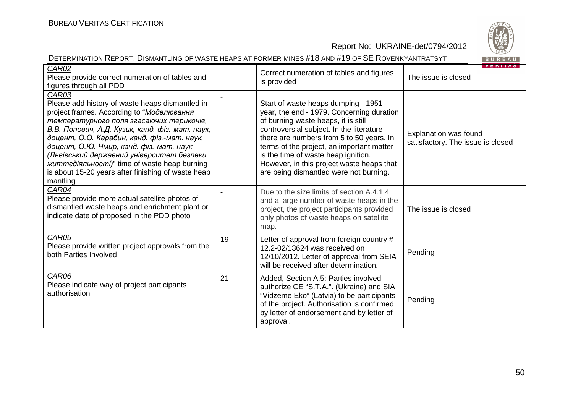

| DETERMINATION REPORT: DISMANTLING OF WASTE HEAPS AT FORMER MINES #18 AND #19 OF SE ROVENKYANTRATSYT<br>BUREAU                                                                                                                                                                                                                                                                                                                                                         |    |                                                                                                                                                                                                                                                                                                                                                                                            |                                                            |  |  |
|-----------------------------------------------------------------------------------------------------------------------------------------------------------------------------------------------------------------------------------------------------------------------------------------------------------------------------------------------------------------------------------------------------------------------------------------------------------------------|----|--------------------------------------------------------------------------------------------------------------------------------------------------------------------------------------------------------------------------------------------------------------------------------------------------------------------------------------------------------------------------------------------|------------------------------------------------------------|--|--|
| <b>CAR02</b><br>Please provide correct numeration of tables and<br>figures through all PDD                                                                                                                                                                                                                                                                                                                                                                            |    | Correct numeration of tables and figures<br>is provided                                                                                                                                                                                                                                                                                                                                    | VERIIAS<br>The issue is closed                             |  |  |
| CAR03<br>Please add history of waste heaps dismantled in<br>project frames. According to "Моделювання<br>температурного поля згасаючих териконів,<br>В.В. Попович, А.Д. Кузик, канд. фіз.-мат. наук,<br>доцент, О.О. Карабин, канд. фіз.-мат. наук,<br>доцент, О.Ю. Чмир, канд. фіз.-мат. наук<br>(Львівський державний університет безпеки<br><i>життедіяльності)</i> " time of waste heap burning<br>is about 15-20 years after finishing of waste heap<br>mantling |    | Start of waste heaps dumping - 1951<br>year, the end - 1979. Concerning duration<br>of burning waste heaps, it is still<br>controversial subject. In the literature<br>there are numbers from 5 to 50 years. In<br>terms of the project, an important matter<br>is the time of waste heap ignition.<br>However, in this project waste heaps that<br>are being dismantled were not burning. | Explanation was found<br>satisfactory. The issue is closed |  |  |
| CAR04<br>Please provide more actual satellite photos of<br>dismantled waste heaps and enrichment plant or<br>indicate date of proposed in the PDD photo                                                                                                                                                                                                                                                                                                               |    | Due to the size limits of section A.4.1.4<br>and a large number of waste heaps in the<br>project, the project participants provided<br>only photos of waste heaps on satellite<br>map.                                                                                                                                                                                                     | The issue is closed                                        |  |  |
| CAR05<br>Please provide written project approvals from the<br>both Parties Involved                                                                                                                                                                                                                                                                                                                                                                                   | 19 | Letter of approval from foreign country #<br>12.2-02/13624 was received on<br>12/10/2012. Letter of approval from SEIA<br>will be received after determination.                                                                                                                                                                                                                            | Pending                                                    |  |  |
| CAR06<br>Please indicate way of project participants<br>authorisation                                                                                                                                                                                                                                                                                                                                                                                                 | 21 | Added, Section A.5: Parties involved<br>authorize CE "S.T.A.". (Ukraine) and SIA<br>"Vidzeme Eko" (Latvia) to be participants<br>of the project. Authorisation is confirmed<br>by letter of endorsement and by letter of<br>approval.                                                                                                                                                      | Pending                                                    |  |  |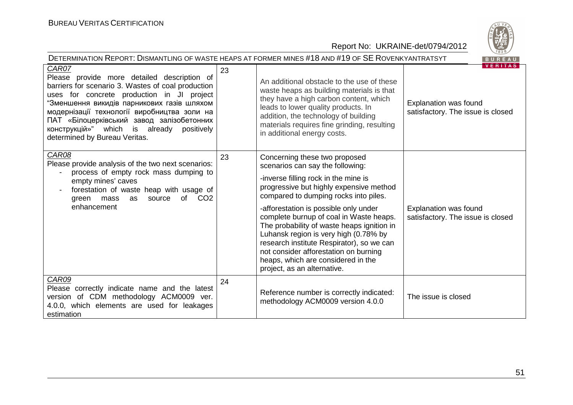

| DETERMINATION REPORT: DISMANTLING OF WASTE HEAPS AT FORMER MINES #18 AND #19 OF SE ROVENKYANTRATSYT<br>BUREAU                                                                                                                                                                                                                                                                    |    |                                                                                                                                                                                                                                                                                                                                                                                                                                                                                                                                     |                                                                              |  |  |
|----------------------------------------------------------------------------------------------------------------------------------------------------------------------------------------------------------------------------------------------------------------------------------------------------------------------------------------------------------------------------------|----|-------------------------------------------------------------------------------------------------------------------------------------------------------------------------------------------------------------------------------------------------------------------------------------------------------------------------------------------------------------------------------------------------------------------------------------------------------------------------------------------------------------------------------------|------------------------------------------------------------------------------|--|--|
| CAR07<br>Please provide more detailed description of<br>barriers for scenario 3. Wastes of coal production<br>uses for concrete production in JI project<br>"Зменшення викидів парникових газів шляхом<br>модернізації технології виробництва золи на<br>ПАТ «Білоцерківський завод залізобетонних<br>конструкцій»" which is already positively<br>determined by Bureau Veritas. | 23 | An additional obstacle to the use of these<br>waste heaps as building materials is that<br>they have a high carbon content, which<br>leads to lower quality products. In<br>addition, the technology of building<br>materials requires fine grinding, resulting<br>in additional energy costs.                                                                                                                                                                                                                                      | <b>VERITAS</b><br>Explanation was found<br>satisfactory. The issue is closed |  |  |
| CAR08<br>Please provide analysis of the two next scenarios:<br>process of empty rock mass dumping to<br>empty mines' caves<br>forestation of waste heap with usage of<br>of CO <sub>2</sub><br>source<br>green mass<br>as<br>enhancement                                                                                                                                         | 23 | Concerning these two proposed<br>scenarios can say the following:<br>-inverse filling rock in the mine is<br>progressive but highly expensive method<br>compared to dumping rocks into piles.<br>-afforestation is possible only under<br>complete burnup of coal in Waste heaps.<br>The probability of waste heaps ignition in<br>Luhansk region is very high (0.78% by<br>research institute Respirator), so we can<br>not consider afforestation on burning<br>heaps, which are considered in the<br>project, as an alternative. | Explanation was found<br>satisfactory. The issue is closed                   |  |  |
| CAR09<br>Please correctly indicate name and the latest<br>version of CDM methodology ACM0009 ver.<br>4.0.0, which elements are used for leakages<br>estimation                                                                                                                                                                                                                   | 24 | Reference number is correctly indicated:<br>methodology ACM0009 version 4.0.0                                                                                                                                                                                                                                                                                                                                                                                                                                                       | The issue is closed                                                          |  |  |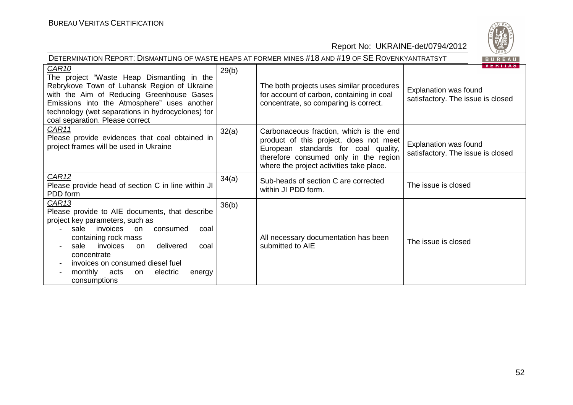| DETERMINATION REPORT: DISMANTLING OF WASTE HEAPS AT FORMER MINES #18 AND #19 OF SE ROVENKYANTRATSYT<br>BUREAU                                                                                                                                                                                                                             |       |                                                                                                                                                                                                                |                                                                              |  |  |
|-------------------------------------------------------------------------------------------------------------------------------------------------------------------------------------------------------------------------------------------------------------------------------------------------------------------------------------------|-------|----------------------------------------------------------------------------------------------------------------------------------------------------------------------------------------------------------------|------------------------------------------------------------------------------|--|--|
| CAR <sub>10</sub><br>The project "Waste Heap Dismantling in the<br>Rebrykove Town of Luhansk Region of Ukraine<br>with the Aim of Reducing Greenhouse Gases<br>Emissions into the Atmosphere" uses another<br>technology (wet separations in hydrocyclones) for<br>coal separation. Please correct                                        | 29(b) | The both projects uses similar procedures<br>for account of carbon, containing in coal<br>concentrate, so comparing is correct.                                                                                | <b>VERITAS</b><br>Explanation was found<br>satisfactory. The issue is closed |  |  |
| CAR11<br>Please provide evidences that coal obtained in<br>project frames will be used in Ukraine                                                                                                                                                                                                                                         | 32(a) | Carbonaceous fraction, which is the end<br>product of this project, does not meet<br>European standards for coal quality,<br>therefore consumed only in the region<br>where the project activities take place. | Explanation was found<br>satisfactory. The issue is closed                   |  |  |
| CAR <sub>12</sub><br>Please provide head of section C in line within JI<br>PDD form                                                                                                                                                                                                                                                       | 34(a) | Sub-heads of section C are corrected<br>within JI PDD form.                                                                                                                                                    | The issue is closed                                                          |  |  |
| <b>CAR13</b><br>Please provide to AIE documents, that describe<br>project key parameters, such as<br>sale<br>invoices<br>consumed<br>on.<br>coal<br>containing rock mass<br>invoices<br>delivered<br>sale<br>on<br>coal<br>concentrate<br>invoices on consumed diesel fuel<br>monthly<br>acts<br>electric<br>on<br>energy<br>consumptions | 36(b) | All necessary documentation has been<br>submitted to AIE                                                                                                                                                       | The issue is closed                                                          |  |  |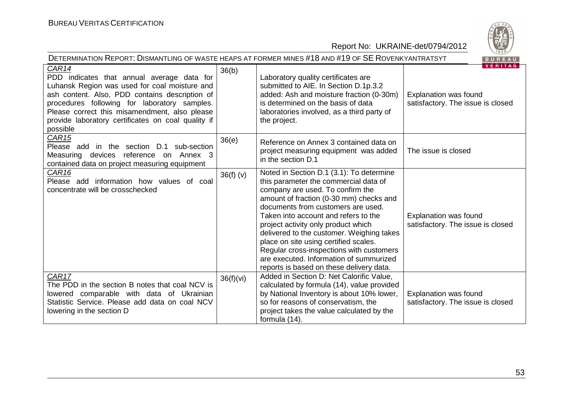

| DETERMINATION REPORT: DISMANTLING OF WASTE HEAPS AT FORMER MINES #18 AND #19 OF SE ROVENKYANTRATSYT<br>BUREAU                                                                                                                                                                                                             |           |                                                                                                                                                                                                                                                                                                                                                                                                                                                                                                                |                                                                                     |  |  |
|---------------------------------------------------------------------------------------------------------------------------------------------------------------------------------------------------------------------------------------------------------------------------------------------------------------------------|-----------|----------------------------------------------------------------------------------------------------------------------------------------------------------------------------------------------------------------------------------------------------------------------------------------------------------------------------------------------------------------------------------------------------------------------------------------------------------------------------------------------------------------|-------------------------------------------------------------------------------------|--|--|
| CAR14<br>PDD indicates that annual average data for<br>Luhansk Region was used for coal moisture and<br>ash content. Also, PDD contains description of<br>procedures following for laboratory samples.<br>Please correct this misamendment, also please<br>provide laboratory certificates on coal quality if<br>possible | 36(b)     | Laboratory quality certificates are<br>submitted to AIE. In Section D.1p.3.2<br>added: Ash and moisture fraction (0-30m)<br>is determined on the basis of data<br>laboratories involved, as a third party of<br>the project.                                                                                                                                                                                                                                                                                   | <b>VERITAS</b><br><b>Explanation was found</b><br>satisfactory. The issue is closed |  |  |
| CAR <sub>15</sub><br>Please add in the section D.1 sub-section<br>Measuring devices reference on Annex 3<br>contained data on project measuring equipment                                                                                                                                                                 | 36(e)     | Reference on Annex 3 contained data on<br>project measuring equipment was added<br>in the section D.1                                                                                                                                                                                                                                                                                                                                                                                                          | The issue is closed                                                                 |  |  |
| CAR <sub>16</sub><br>Please add information how values of coal<br>concentrate will be crosschecked                                                                                                                                                                                                                        | 36(f)(v)  | Noted in Section D.1 (3.1): To determine<br>this parameter the commercial data of<br>company are used. To confirm the<br>amount of fraction (0-30 mm) checks and<br>documents from customers are used.<br>Taken into account and refers to the<br>project activity only product which<br>delivered to the customer. Weighing takes<br>place on site using certified scales.<br>Regular cross-inspections with customers<br>are executed. Information of summurized<br>reports is based on these delivery data. | Explanation was found<br>satisfactory. The issue is closed                          |  |  |
| CAR17<br>The PDD in the section B notes that coal NCV is<br>lowered comparable with data of Ukrainian<br>Statistic Service. Please add data on coal NCV<br>lowering in the section D                                                                                                                                      | 36(f)(vi) | Added in Section D: Net Calorific Value,<br>calculated by formula (14), value provided<br>by National Inventory is about 10% lower,<br>so for reasons of conservatism, the<br>project takes the value calculated by the<br>formula (14).                                                                                                                                                                                                                                                                       | Explanation was found<br>satisfactory. The issue is closed                          |  |  |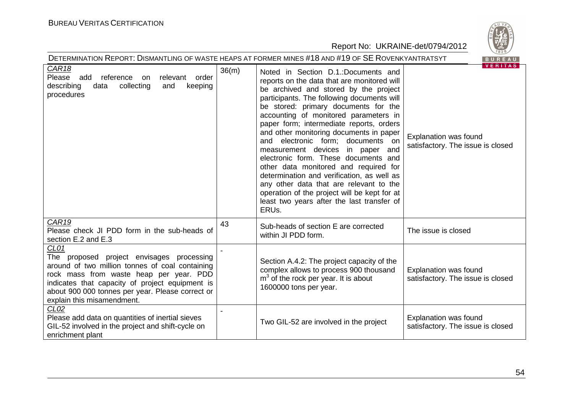

|                                                                                                                                                                                                                                                                                      |       | Report No: UKRAINE-det/0794/2012                                                                                                                                                                                                                                                                                                                                                                                                                                                                                                                                                                                                                                                                            | $\frac{1}{2}$                                                                       |  |  |  |
|--------------------------------------------------------------------------------------------------------------------------------------------------------------------------------------------------------------------------------------------------------------------------------------|-------|-------------------------------------------------------------------------------------------------------------------------------------------------------------------------------------------------------------------------------------------------------------------------------------------------------------------------------------------------------------------------------------------------------------------------------------------------------------------------------------------------------------------------------------------------------------------------------------------------------------------------------------------------------------------------------------------------------------|-------------------------------------------------------------------------------------|--|--|--|
| DETERMINATION REPORT: DISMANTLING OF WASTE HEAPS AT FORMER MINES #18 AND #19 OF SE ROVENKYANTRATSYT<br>BUREAU                                                                                                                                                                        |       |                                                                                                                                                                                                                                                                                                                                                                                                                                                                                                                                                                                                                                                                                                             |                                                                                     |  |  |  |
| CAR <sub>18</sub><br>Please add<br>reference<br>relevant<br>order<br>on<br>describing<br>collecting<br>keeping<br>data<br>and<br>procedures                                                                                                                                          | 36(m) | Noted in Section D.1.:Documents and<br>reports on the data that are monitored will<br>be archived and stored by the project<br>participants. The following documents will<br>be stored: primary documents for the<br>accounting of monitored parameters in<br>paper form; intermediate reports, orders<br>and other monitoring documents in paper<br>and electronic form; documents on<br>measurement devices in paper and<br>electronic form. These documents and<br>other data monitored and required for<br>determination and verification, as well as<br>any other data that are relevant to the<br>operation of the project will be kept for at<br>least two years after the last transfer of<br>ERUs. | <b>VERITAS</b><br><b>Explanation was found</b><br>satisfactory. The issue is closed |  |  |  |
| CAR <sub>19</sub><br>Please check JI PDD form in the sub-heads of<br>section E.2 and E.3                                                                                                                                                                                             | 43    | Sub-heads of section E are corrected<br>within JI PDD form.                                                                                                                                                                                                                                                                                                                                                                                                                                                                                                                                                                                                                                                 | The issue is closed                                                                 |  |  |  |
| CL01<br>The proposed project envisages processing<br>around of two million tonnes of coal containing<br>rock mass from waste heap per year. PDD<br>indicates that capacity of project equipment is<br>about 900 000 tonnes per year. Please correct or<br>explain this misamendment. |       | Section A.4.2: The project capacity of the<br>complex allows to process 900 thousand<br>$m3$ of the rock per year. It is about<br>1600000 tons per year.                                                                                                                                                                                                                                                                                                                                                                                                                                                                                                                                                    | <b>Explanation was found</b><br>satisfactory. The issue is closed                   |  |  |  |
| CL <sub>02</sub><br>Please add data on quantities of inertial sieves<br>GIL-52 involved in the project and shift-cycle on<br>enrichment plant                                                                                                                                        |       | Two GIL-52 are involved in the project                                                                                                                                                                                                                                                                                                                                                                                                                                                                                                                                                                                                                                                                      | Explanation was found<br>satisfactory. The issue is closed                          |  |  |  |